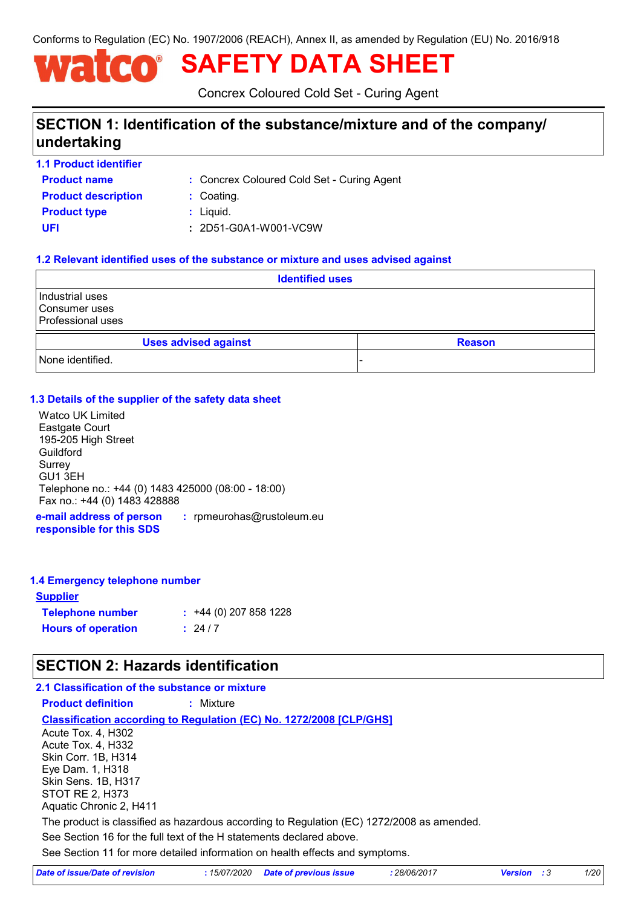Conforms to Regulation (EC) No. 1907/2006 (REACH), Annex II, as amended by Regulation (EU) No. 2016/918

# **SAFETY DATA SHEET**

Concrex Coloured Cold Set - Curing Agent

## **SECTION 1: Identification of the substance/mixture and of the company/ undertaking**

**1.1 Product identifier**

**Product name**

Concrex Coloured Cold Set - Curing Agent **:**

**Product type**  $\qquad$ **:** Liquid. **Product description <b>:** Coating.

**UFI :** 2D51-G0A1-W001-VC9W

#### **1.2 Relevant identified uses of the substance or mixture and uses advised against**

| <b>Identified uses</b>                                       |                             |  |  |               |
|--------------------------------------------------------------|-----------------------------|--|--|---------------|
| Industrial uses<br>Consumer uses<br><b>Professional uses</b> |                             |  |  |               |
|                                                              | <b>Uses advised against</b> |  |  | <b>Reason</b> |
| None identified.                                             |                             |  |  |               |

#### **1.3 Details of the supplier of the safety data sheet**

Watco UK Limited Eastgate Court 195-205 High Street Guildford Surrey GU1 3EH Telephone no.: +44 (0) 1483 425000 (08:00 - 18:00) Fax no.: +44 (0) 1483 428888

**e-mail address of person responsible for this SDS :** rpmeurohas@rustoleum.eu

#### **1.4 Emergency telephone number**

| <u>Supplier</u>           |                         |
|---------------------------|-------------------------|
| <b>Telephone number</b>   | $: +44(0)$ 207 858 1228 |
| <b>Hours of operation</b> | : 24/7                  |

## **SECTION 2: Hazards identification**

#### **2.1 Classification of the substance or mixture**

**Product definition :** Mixture

#### **Classification according to Regulation (EC) No. 1272/2008 [CLP/GHS]**

See Section 11 for more detailed information on health effects and symptoms. See Section 16 for the full text of the H statements declared above. Acute Tox. 4, H302 Acute Tox. 4, H332 Skin Corr. 1B, H314 Eye Dam. 1, H318 Skin Sens. 1B, H317 STOT RE 2, H373 Aquatic Chronic 2, H411 The product is classified as hazardous according to Regulation (EC) 1272/2008 as amended.

| Date of issue/Date of revision | : 15/07/2020 Date of previous issue | 28/06/2017 | <b>Version</b> : 3 | 1/20 |
|--------------------------------|-------------------------------------|------------|--------------------|------|
|--------------------------------|-------------------------------------|------------|--------------------|------|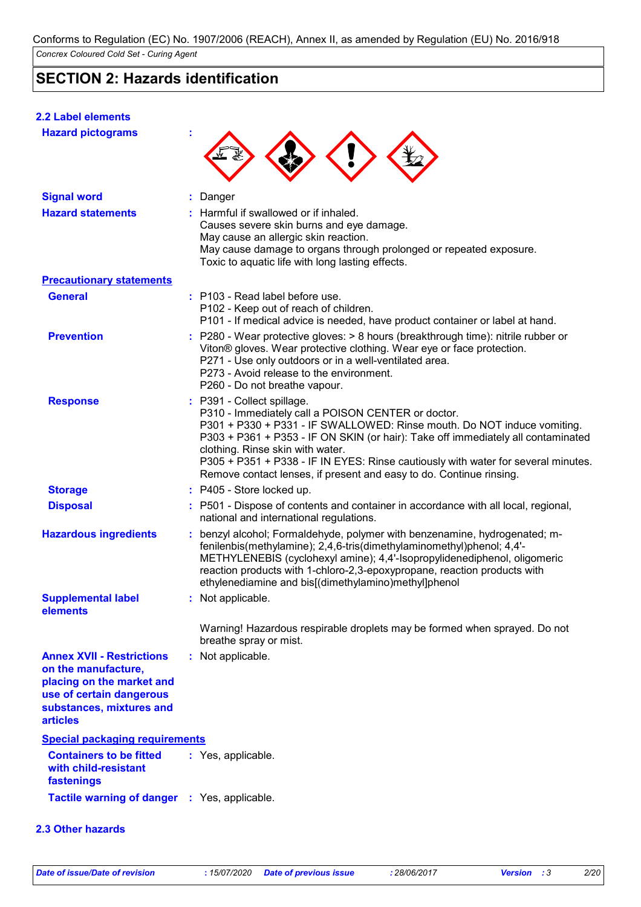## **SECTION 2: Hazards identification**

#### **2.2 Label elements**

| <b>Hazard pictograms</b>                                                                                                                                        |                                                                                                                                                                                                                                                                                                                                                                                                                                                 |
|-----------------------------------------------------------------------------------------------------------------------------------------------------------------|-------------------------------------------------------------------------------------------------------------------------------------------------------------------------------------------------------------------------------------------------------------------------------------------------------------------------------------------------------------------------------------------------------------------------------------------------|
| <b>Signal word</b>                                                                                                                                              | : Danger                                                                                                                                                                                                                                                                                                                                                                                                                                        |
| <b>Hazard statements</b>                                                                                                                                        | : Harmful if swallowed or if inhaled.<br>Causes severe skin burns and eye damage.<br>May cause an allergic skin reaction.<br>May cause damage to organs through prolonged or repeated exposure.<br>Toxic to aquatic life with long lasting effects.                                                                                                                                                                                             |
| <b>Precautionary statements</b>                                                                                                                                 |                                                                                                                                                                                                                                                                                                                                                                                                                                                 |
| <b>General</b>                                                                                                                                                  | : P103 - Read label before use.<br>P102 - Keep out of reach of children.<br>P101 - If medical advice is needed, have product container or label at hand.                                                                                                                                                                                                                                                                                        |
| <b>Prevention</b>                                                                                                                                               | : P280 - Wear protective gloves: $> 8$ hours (breakthrough time): nitrile rubber or<br>Viton® gloves. Wear protective clothing. Wear eye or face protection.<br>P271 - Use only outdoors or in a well-ventilated area.<br>P273 - Avoid release to the environment.<br>P260 - Do not breathe vapour.                                                                                                                                             |
| <b>Response</b>                                                                                                                                                 | : P391 - Collect spillage.<br>P310 - Immediately call a POISON CENTER or doctor.<br>P301 + P330 + P331 - IF SWALLOWED: Rinse mouth. Do NOT induce vomiting.<br>P303 + P361 + P353 - IF ON SKIN (or hair): Take off immediately all contaminated<br>clothing. Rinse skin with water.<br>P305 + P351 + P338 - IF IN EYES: Rinse cautiously with water for several minutes.<br>Remove contact lenses, if present and easy to do. Continue rinsing. |
| <b>Storage</b>                                                                                                                                                  | : P405 - Store locked up.                                                                                                                                                                                                                                                                                                                                                                                                                       |
| <b>Disposal</b>                                                                                                                                                 | : P501 - Dispose of contents and container in accordance with all local, regional,<br>national and international regulations.                                                                                                                                                                                                                                                                                                                   |
| <b>Hazardous ingredients</b>                                                                                                                                    | benzyl alcohol; Formaldehyde, polymer with benzenamine, hydrogenated; m-<br>fenilenbis(methylamine); 2,4,6-tris(dimethylaminomethyl)phenol; 4,4'-<br>METHYLENEBIS (cyclohexyl amine); 4,4'-Isopropylidenediphenol, oligomeric<br>reaction products with 1-chloro-2,3-epoxypropane, reaction products with<br>ethylenediamine and bis[(dimethylamino)methyl]phenol                                                                               |
| <b>Supplemental label</b>                                                                                                                                       | : Not applicable.                                                                                                                                                                                                                                                                                                                                                                                                                               |
| elements                                                                                                                                                        | Warning! Hazardous respirable droplets may be formed when sprayed. Do not<br>breathe spray or mist.                                                                                                                                                                                                                                                                                                                                             |
| <b>Annex XVII - Restrictions</b><br>on the manufacture,<br>placing on the market and<br>use of certain dangerous<br>substances, mixtures and<br><b>articles</b> | : Not applicable.                                                                                                                                                                                                                                                                                                                                                                                                                               |
| <b>Special packaging requirements</b>                                                                                                                           |                                                                                                                                                                                                                                                                                                                                                                                                                                                 |
| <b>Containers to be fitted</b><br>with child-resistant<br>fastenings                                                                                            | : Yes, applicable.                                                                                                                                                                                                                                                                                                                                                                                                                              |
| <b>Tactile warning of danger : Yes, applicable.</b>                                                                                                             |                                                                                                                                                                                                                                                                                                                                                                                                                                                 |
| 2.3 Other hazards                                                                                                                                               |                                                                                                                                                                                                                                                                                                                                                                                                                                                 |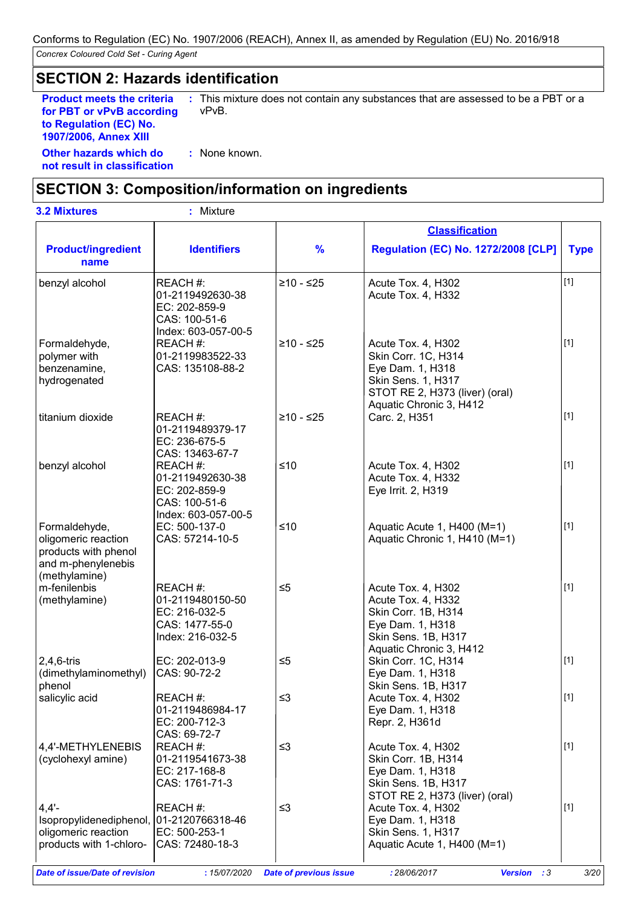## **SECTION 2: Hazards identification**

**Product meets the criteria for PBT or vPvB according to Regulation (EC) No. 1907/2006, Annex XIII**

**:** This mixture does not contain any substances that are assessed to be a PBT or a vPvB.

**Other hazards which do : not result in classification** : None known.

## **SECTION 3: Composition/information on ingredients**

| <b>3.2 Mixtures</b>                                                                                    | Mixture                                                                               |               |                                                                                                                                                  |             |
|--------------------------------------------------------------------------------------------------------|---------------------------------------------------------------------------------------|---------------|--------------------------------------------------------------------------------------------------------------------------------------------------|-------------|
|                                                                                                        |                                                                                       |               | <b>Classification</b>                                                                                                                            |             |
| <b>Product/ingredient</b><br>name                                                                      | <b>Identifiers</b>                                                                    | $\frac{9}{6}$ | <b>Regulation (EC) No. 1272/2008 [CLP]</b>                                                                                                       | <b>Type</b> |
| benzyl alcohol                                                                                         | REACH #:<br>01-2119492630-38<br>EC: 202-859-9<br>CAS: 100-51-6<br>Index: 603-057-00-5 | $≥10 - ≤25$   | Acute Tox. 4, H302<br>Acute Tox. 4, H332                                                                                                         | $[1]$       |
| Formaldehyde,<br>polymer with<br>benzenamine,<br>hydrogenated                                          | REACH #:<br>01-2119983522-33<br>CAS: 135108-88-2                                      | $≥10 - ≤25$   | Acute Tox. 4, H302<br>Skin Corr. 1C, H314<br>Eye Dam. 1, H318<br>Skin Sens. 1, H317<br>STOT RE 2, H373 (liver) (oral)<br>Aquatic Chronic 3, H412 | $[1]$       |
| titanium dioxide                                                                                       | REACH #:<br>01-2119489379-17<br>EC: 236-675-5<br>CAS: 13463-67-7                      | $≥10 - ≤25$   | Carc. 2, H351                                                                                                                                    | $[1]$       |
| benzyl alcohol                                                                                         | REACH#:<br>01-2119492630-38<br>EC: 202-859-9<br>CAS: 100-51-6<br>Index: 603-057-00-5  | $≤10$         | Acute Tox. 4, H302<br>Acute Tox. 4, H332<br>Eye Irrit. 2, H319                                                                                   | [1]         |
| Formaldehyde,<br>oligomeric reaction<br>products with phenol<br>and m-phenylenebis<br>(methylamine)    | EC: 500-137-0<br>CAS: 57214-10-5                                                      | $≤10$         | Aquatic Acute 1, H400 (M=1)<br>Aquatic Chronic 1, H410 (M=1)                                                                                     | $[1]$       |
| m-fenilenbis<br>(methylamine)                                                                          | REACH#:<br>01-2119480150-50<br>EC: 216-032-5<br>CAS: 1477-55-0<br>Index: 216-032-5    | $\leq 5$      | Acute Tox. 4, H302<br>Acute Tox. 4, H332<br>Skin Corr. 1B, H314<br>Eye Dam. 1, H318<br>Skin Sens. 1B, H317<br>Aquatic Chronic 3, H412            | $[1]$       |
| $2,4,6$ -tris<br>(dimethylaminomethyl)<br>phenol                                                       | EC: 202-013-9<br>CAS: 90-72-2                                                         | $\leq 5$      | Skin Corr. 1C, H314<br>Eye Dam. 1, H318<br>Skin Sens. 1B, H317                                                                                   | $[1]$       |
| salicylic acid                                                                                         | REACH #:<br>01-2119486984-17<br>EC: 200-712-3<br>CAS: 69-72-7                         | $\leq$ 3      | Acute Tox. 4, H302<br>Eye Dam. 1, H318<br>Repr. 2, H361d                                                                                         | $[1]$       |
| 4,4'-METHYLENEBIS<br>(cyclohexyl amine)                                                                | REACH #:<br>01-2119541673-38<br>EC: 217-168-8<br>CAS: 1761-71-3                       | $\leq$ 3      | Acute Tox. 4, H302<br>Skin Corr. 1B, H314<br>Eye Dam. 1, H318<br>Skin Sens. 1B, H317<br>STOT RE 2, H373 (liver) (oral)                           | $[1]$       |
| $4,4'$ -<br>Isopropylidenediphenol, 01-2120766318-46<br>oligomeric reaction<br>products with 1-chloro- | REACH #:<br>EC: 500-253-1<br>CAS: 72480-18-3                                          | $\leq$ 3      | Acute Tox. 4, H302<br>Eye Dam. 1, H318<br>Skin Sens. 1, H317<br>Aquatic Acute 1, H400 (M=1)                                                      | $[1]$       |

*Date of issue/Date of revision* **:** *15/07/2020 Date of previous issue : 28/06/2017 Version : 3 3/20*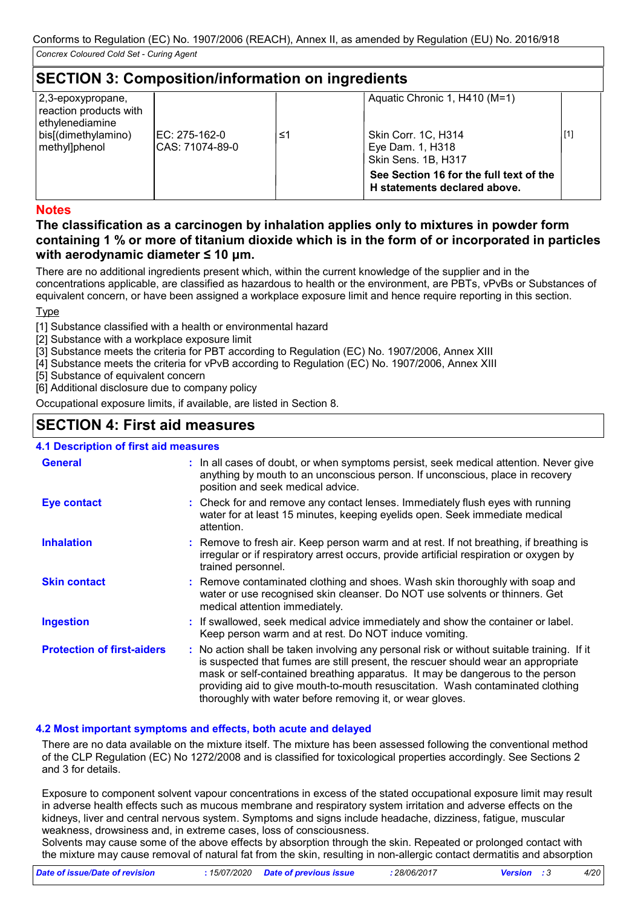## **SECTION 3: Composition/information on ingredients**

| 2,3-epoxypropane,<br>reaction products with<br>ethylenediamine<br>bis[(dimethylamino)<br>methyl]phenol | IEC: 275-162-0<br>ICAS: 71074-89-0 | ≤1 | Aquatic Chronic 1, H410 (M=1)<br><b>Skin Corr. 1C, H314</b><br>Eye Dam. 1, H318<br>Skin Sens. 1B, H317 | $[1]$ |
|--------------------------------------------------------------------------------------------------------|------------------------------------|----|--------------------------------------------------------------------------------------------------------|-------|
|                                                                                                        |                                    |    | See Section 16 for the full text of the<br>H statements declared above.                                |       |

#### **Notes**

#### **The classification as a carcinogen by inhalation applies only to mixtures in powder form containing 1 % or more of titanium dioxide which is in the form of or incorporated in particles with aerodynamic diameter ≤ 10 μm.**

There are no additional ingredients present which, within the current knowledge of the supplier and in the concentrations applicable, are classified as hazardous to health or the environment, are PBTs, vPvBs or Substances of equivalent concern, or have been assigned a workplace exposure limit and hence require reporting in this section.

#### **T**<sub>vpe</sub>

[1] Substance classified with a health or environmental hazard

- [2] Substance with a workplace exposure limit
- [3] Substance meets the criteria for PBT according to Regulation (EC) No. 1907/2006, Annex XIII
- [4] Substance meets the criteria for vPvB according to Regulation (EC) No. 1907/2006, Annex XIII

[5] Substance of equivalent concern

[6] Additional disclosure due to company policy

Occupational exposure limits, if available, are listed in Section 8.

## **SECTION 4: First aid measures**

### **4.1 Description of first aid measures**

| <b>General</b>                    | : In all cases of doubt, or when symptoms persist, seek medical attention. Never give<br>anything by mouth to an unconscious person. If unconscious, place in recovery<br>position and seek medical advice.                                                                                                                                                                                                     |
|-----------------------------------|-----------------------------------------------------------------------------------------------------------------------------------------------------------------------------------------------------------------------------------------------------------------------------------------------------------------------------------------------------------------------------------------------------------------|
| <b>Eye contact</b>                | : Check for and remove any contact lenses. Immediately flush eyes with running<br>water for at least 15 minutes, keeping eyelids open. Seek immediate medical<br>attention.                                                                                                                                                                                                                                     |
| <b>Inhalation</b>                 | : Remove to fresh air. Keep person warm and at rest. If not breathing, if breathing is<br>irregular or if respiratory arrest occurs, provide artificial respiration or oxygen by<br>trained personnel.                                                                                                                                                                                                          |
| <b>Skin contact</b>               | : Remove contaminated clothing and shoes. Wash skin thoroughly with soap and<br>water or use recognised skin cleanser. Do NOT use solvents or thinners. Get<br>medical attention immediately.                                                                                                                                                                                                                   |
| <b>Ingestion</b>                  | : If swallowed, seek medical advice immediately and show the container or label.<br>Keep person warm and at rest. Do NOT induce vomiting.                                                                                                                                                                                                                                                                       |
| <b>Protection of first-aiders</b> | : No action shall be taken involving any personal risk or without suitable training. If it<br>is suspected that fumes are still present, the rescuer should wear an appropriate<br>mask or self-contained breathing apparatus. It may be dangerous to the person<br>providing aid to give mouth-to-mouth resuscitation. Wash contaminated clothing<br>thoroughly with water before removing it, or wear gloves. |

#### **4.2 Most important symptoms and effects, both acute and delayed**

There are no data available on the mixture itself. The mixture has been assessed following the conventional method of the CLP Regulation (EC) No 1272/2008 and is classified for toxicological properties accordingly. See Sections 2 and 3 for details.

Exposure to component solvent vapour concentrations in excess of the stated occupational exposure limit may result in adverse health effects such as mucous membrane and respiratory system irritation and adverse effects on the kidneys, liver and central nervous system. Symptoms and signs include headache, dizziness, fatigue, muscular weakness, drowsiness and, in extreme cases, loss of consciousness.

Solvents may cause some of the above effects by absorption through the skin. Repeated or prolonged contact with the mixture may cause removal of natural fat from the skin, resulting in non-allergic contact dermatitis and absorption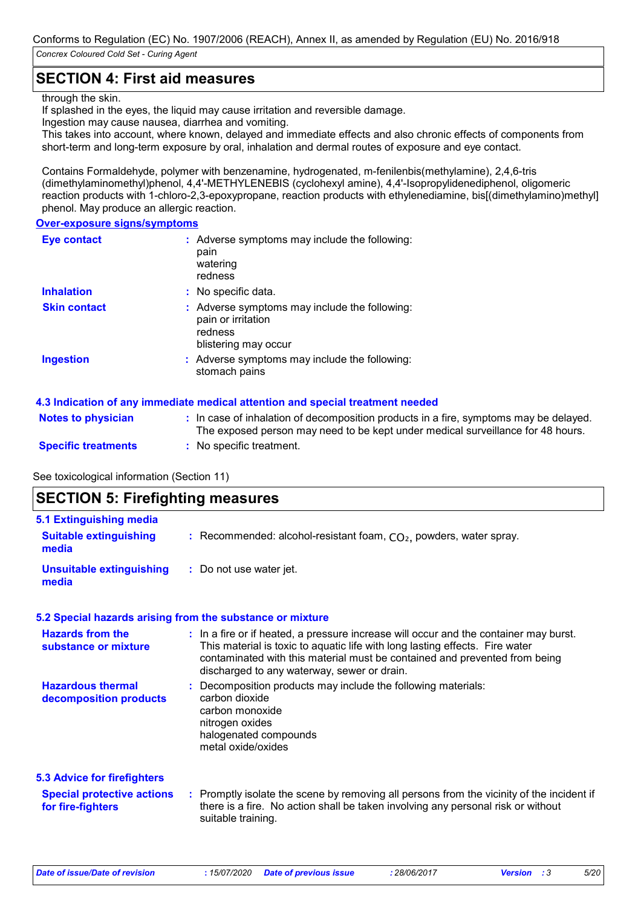## **SECTION 4: First aid measures**

#### through the skin.

If splashed in the eyes, the liquid may cause irritation and reversible damage. Ingestion may cause nausea, diarrhea and vomiting.

This takes into account, where known, delayed and immediate effects and also chronic effects of components from short-term and long-term exposure by oral, inhalation and dermal routes of exposure and eye contact.

Contains Formaldehyde, polymer with benzenamine, hydrogenated, m-fenilenbis(methylamine), 2,4,6-tris (dimethylaminomethyl)phenol, 4,4'-METHYLENEBIS (cyclohexyl amine), 4,4'-Isopropylidenediphenol, oligomeric reaction products with 1-chloro-2,3-epoxypropane, reaction products with ethylenediamine, bis[(dimethylamino)methyl] phenol. May produce an allergic reaction.

#### **Over-exposure signs/symptoms**

| <b>Eye contact</b>  | : Adverse symptoms may include the following:<br>pain<br>watering<br>redness                           |
|---------------------|--------------------------------------------------------------------------------------------------------|
| <b>Inhalation</b>   | : No specific data.                                                                                    |
| <b>Skin contact</b> | : Adverse symptoms may include the following:<br>pain or irritation<br>redness<br>blistering may occur |
| <b>Ingestion</b>    | : Adverse symptoms may include the following:<br>stomach pains                                         |

#### **4.3 Indication of any immediate medical attention and special treatment needed**

| <b>Notes to physician</b>  | : In case of inhalation of decomposition products in a fire, symptoms may be delayed.<br>The exposed person may need to be kept under medical surveillance for 48 hours. |
|----------------------------|--------------------------------------------------------------------------------------------------------------------------------------------------------------------------|
| <b>Specific treatments</b> | : No specific treatment.                                                                                                                                                 |

See toxicological information (Section 11)

## **SECTION 5: Firefighting measures**

| <b>5.1 Extinguishing media</b>                         |                                                                                                                                                                                                                                                                                                    |  |  |  |
|--------------------------------------------------------|----------------------------------------------------------------------------------------------------------------------------------------------------------------------------------------------------------------------------------------------------------------------------------------------------|--|--|--|
| <b>Suitable extinguishing</b><br>media                 | : Recommended: alcohol-resistant foam, $CO2$ , powders, water spray.                                                                                                                                                                                                                               |  |  |  |
| <b>Unsuitable extinguishing</b><br>media               | : Do not use water jet.                                                                                                                                                                                                                                                                            |  |  |  |
|                                                        | 5.2 Special hazards arising from the substance or mixture                                                                                                                                                                                                                                          |  |  |  |
| <b>Hazards from the</b><br>substance or mixture        | : In a fire or if heated, a pressure increase will occur and the container may burst.<br>This material is toxic to aquatic life with long lasting effects. Fire water<br>contaminated with this material must be contained and prevented from being<br>discharged to any waterway, sewer or drain. |  |  |  |
| <b>Hazardous thermal</b><br>decomposition products     | Decomposition products may include the following materials:<br>carbon dioxide<br>carbon monoxide<br>nitrogen oxides<br>halogenated compounds<br>metal oxide/oxides                                                                                                                                 |  |  |  |
| <b>5.3 Advice for firefighters</b>                     |                                                                                                                                                                                                                                                                                                    |  |  |  |
| <b>Special protective actions</b><br>for fire-fighters | : Promptly isolate the scene by removing all persons from the vicinity of the incident if<br>there is a fire. No action shall be taken involving any personal risk or without<br>suitable training.                                                                                                |  |  |  |

*Date of issue/Date of revision* **:** *15/07/2020 Date of previous issue : 28/06/2017 Version : 3 5/20*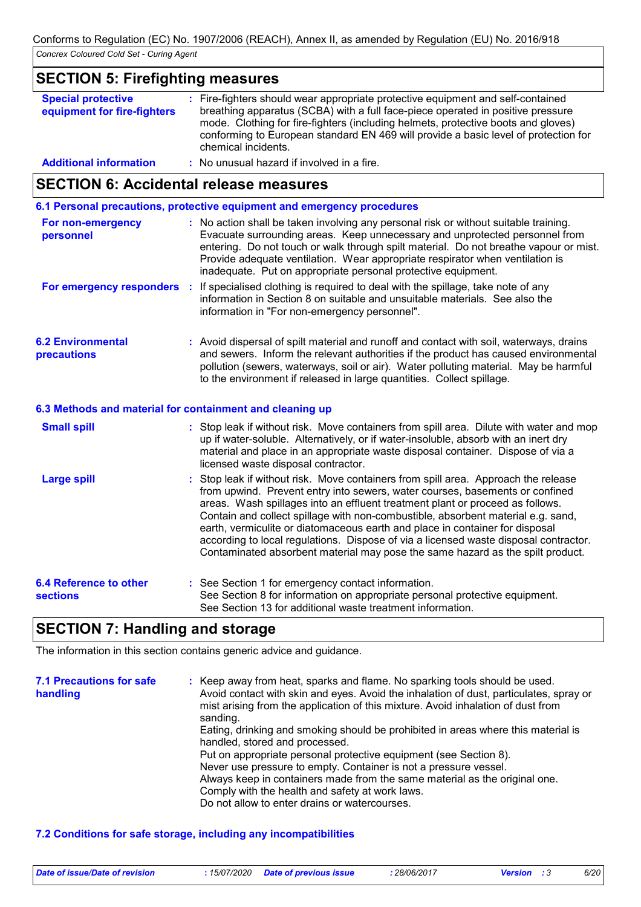## **SECTION 5: Firefighting measures**

| <b>Special protective</b><br>equipment for fire-fighters | : Fire-fighters should wear appropriate protective equipment and self-contained<br>breathing apparatus (SCBA) with a full face-piece operated in positive pressure<br>mode. Clothing for fire-fighters (including helmets, protective boots and gloves)<br>conforming to European standard EN 469 will provide a basic level of protection for<br>chemical incidents. |
|----------------------------------------------------------|-----------------------------------------------------------------------------------------------------------------------------------------------------------------------------------------------------------------------------------------------------------------------------------------------------------------------------------------------------------------------|
| <b>Additional information</b>                            | : No unusual hazard if involved in a fire.                                                                                                                                                                                                                                                                                                                            |

## **SECTION 6: Accidental release measures**

**6.1 Personal precautions, protective equipment and emergency procedures**

| For non-emergency<br>personnel                           | : No action shall be taken involving any personal risk or without suitable training.<br>Evacuate surrounding areas. Keep unnecessary and unprotected personnel from<br>entering. Do not touch or walk through spilt material. Do not breathe vapour or mist.<br>Provide adequate ventilation. Wear appropriate respirator when ventilation is<br>inadequate. Put on appropriate personal protective equipment.                                                                                                                                                                                    |  |
|----------------------------------------------------------|---------------------------------------------------------------------------------------------------------------------------------------------------------------------------------------------------------------------------------------------------------------------------------------------------------------------------------------------------------------------------------------------------------------------------------------------------------------------------------------------------------------------------------------------------------------------------------------------------|--|
| For emergency responders :                               | If specialised clothing is required to deal with the spillage, take note of any<br>information in Section 8 on suitable and unsuitable materials. See also the<br>information in "For non-emergency personnel".                                                                                                                                                                                                                                                                                                                                                                                   |  |
| <b>6.2 Environmental</b><br>precautions                  | : Avoid dispersal of spilt material and runoff and contact with soil, waterways, drains<br>and sewers. Inform the relevant authorities if the product has caused environmental<br>pollution (sewers, waterways, soil or air). Water polluting material. May be harmful<br>to the environment if released in large quantities. Collect spillage.                                                                                                                                                                                                                                                   |  |
| 6.3 Methods and material for containment and cleaning up |                                                                                                                                                                                                                                                                                                                                                                                                                                                                                                                                                                                                   |  |
| <b>Small spill</b>                                       | : Stop leak if without risk. Move containers from spill area. Dilute with water and mop<br>up if water-soluble. Alternatively, or if water-insoluble, absorb with an inert dry<br>material and place in an appropriate waste disposal container. Dispose of via a<br>licensed waste disposal contractor.                                                                                                                                                                                                                                                                                          |  |
| <b>Large spill</b>                                       | : Stop leak if without risk. Move containers from spill area. Approach the release<br>from upwind. Prevent entry into sewers, water courses, basements or confined<br>areas. Wash spillages into an effluent treatment plant or proceed as follows.<br>Contain and collect spillage with non-combustible, absorbent material e.g. sand,<br>earth, vermiculite or diatomaceous earth and place in container for disposal<br>according to local regulations. Dispose of via a licensed waste disposal contractor.<br>Contaminated absorbent material may pose the same hazard as the spilt product. |  |

| 6.4 Reference to other | : See Section 1 for emergency contact information.                                                                                        |
|------------------------|-------------------------------------------------------------------------------------------------------------------------------------------|
| <b>sections</b>        | See Section 8 for information on appropriate personal protective equipment.<br>See Section 13 for additional waste treatment information. |
|                        |                                                                                                                                           |

## **SECTION 7: Handling and storage**

The information in this section contains generic advice and guidance.

| <b>7.1 Precautions for safe</b><br>handling | : Keep away from heat, sparks and flame. No sparking tools should be used.<br>Avoid contact with skin and eyes. Avoid the inhalation of dust, particulates, spray or<br>mist arising from the application of this mixture. Avoid inhalation of dust from<br>sanding. |
|---------------------------------------------|----------------------------------------------------------------------------------------------------------------------------------------------------------------------------------------------------------------------------------------------------------------------|
|                                             | Eating, drinking and smoking should be prohibited in areas where this material is<br>handled, stored and processed.                                                                                                                                                  |
|                                             | Put on appropriate personal protective equipment (see Section 8).                                                                                                                                                                                                    |
|                                             | Never use pressure to empty. Container is not a pressure vessel.                                                                                                                                                                                                     |
|                                             | Always keep in containers made from the same material as the original one.                                                                                                                                                                                           |
|                                             | Comply with the health and safety at work laws.                                                                                                                                                                                                                      |
|                                             | Do not allow to enter drains or watercourses.                                                                                                                                                                                                                        |

#### **7.2 Conditions for safe storage, including any incompatibilities**

| Date of issue/Date of revision | : 15/07/2020 Date of previous issue | 28/06/2017 | <b>Version</b> : 3 | 6/20 |
|--------------------------------|-------------------------------------|------------|--------------------|------|
|--------------------------------|-------------------------------------|------------|--------------------|------|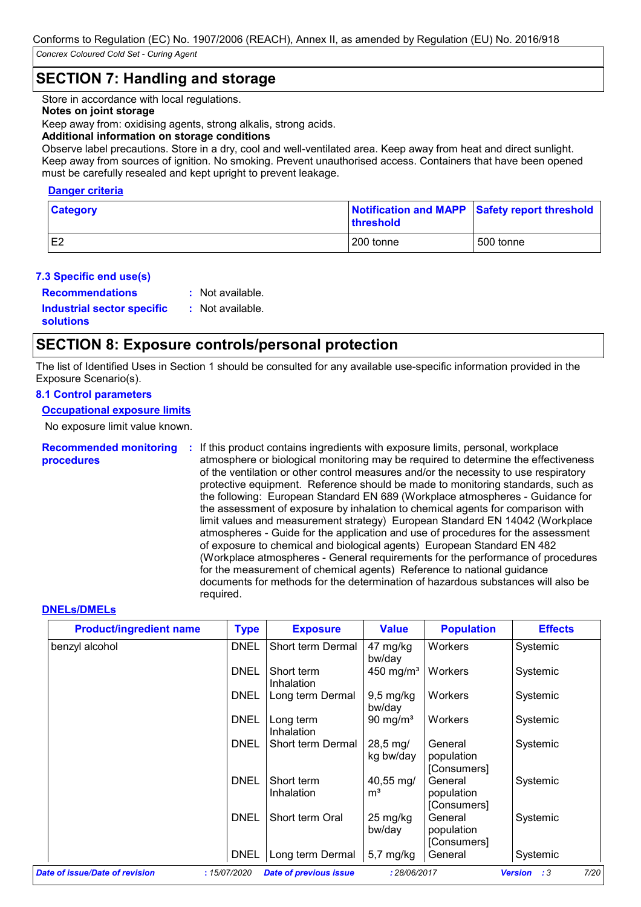## **SECTION 7: Handling and storage**

Store in accordance with local regulations.

#### **Notes on joint storage**

Keep away from: oxidising agents, strong alkalis, strong acids.

#### **Additional information on storage conditions**

Observe label precautions. Store in a dry, cool and well-ventilated area. Keep away from heat and direct sunlight. Keep away from sources of ignition. No smoking. Prevent unauthorised access. Containers that have been opened must be carefully resealed and kept upright to prevent leakage.

#### **Danger criteria**

| <b>Category</b> | <b>Ithreshold</b> | Notification and MAPP Safety report threshold |
|-----------------|-------------------|-----------------------------------------------|
| E <sub>2</sub>  | 200 tonne         | 500 tonne                                     |

#### **7.3 Specific end use(s)**

**Recommendations :**

: Not available.

**Industrial sector specific : solutions**

: Not available.

## **SECTION 8: Exposure controls/personal protection**

The list of Identified Uses in Section 1 should be consulted for any available use-specific information provided in the Exposure Scenario(s).

#### **8.1 Control parameters**

#### **Occupational exposure limits**

No exposure limit value known.

#### **Recommended monitoring : If this product contains ingredients with exposure limits, personal, workplace procedures** atmosphere or biological monitoring may be required to determine the effectiveness of the ventilation or other control measures and/or the necessity to use respiratory protective equipment. Reference should be made to monitoring standards, such as the following: European Standard EN 689 (Workplace atmospheres - Guidance for the assessment of exposure by inhalation to chemical agents for comparison with limit values and measurement strategy) European Standard EN 14042 (Workplace atmospheres - Guide for the application and use of procedures for the assessment of exposure to chemical and biological agents) European Standard EN 482 (Workplace atmospheres - General requirements for the performance of procedures for the measurement of chemical agents) Reference to national guidance documents for methods for the determination of hazardous substances will also be required.

#### **DNELs/DMELs**

| <b>Product/ingredient name</b> | <b>Type</b> | <b>Exposure</b>          | <b>Value</b>                      | <b>Population</b>                    | <b>Effects</b> |
|--------------------------------|-------------|--------------------------|-----------------------------------|--------------------------------------|----------------|
| benzyl alcohol                 | <b>DNEL</b> | Short term Dermal        | 47 mg/kg<br>bw/day                | Workers                              | Systemic       |
|                                | <b>DNEL</b> | Short term<br>Inhalation | 450 mg/m <sup>3</sup>             | Workers                              | Systemic       |
|                                | DNEL        | Long term Dermal         | $9,5$ mg/kg<br>bw/day             | Workers                              | Systemic       |
|                                | <b>DNEL</b> | Long term<br>Inhalation  | 90 mg/m <sup>3</sup>              | Workers                              | Systemic       |
|                                | DNEL        | Short term Dermal        | $28,5 \,\mathrm{mg}$<br>kg bw/day | General<br>population<br>[Consumers] | Systemic       |
|                                | <b>DNEL</b> | Short term<br>Inhalation | 40,55 mg/<br>m <sup>3</sup>       | General<br>population<br>[Consumers] | Systemic       |
|                                | <b>DNEL</b> | Short term Oral          | 25 mg/kg<br>bw/day                | General<br>population<br>[Consumers] | Systemic       |
|                                | <b>DNEL</b> | Long term Dermal         | $5,7$ mg/kg                       | General                              | Systemic       |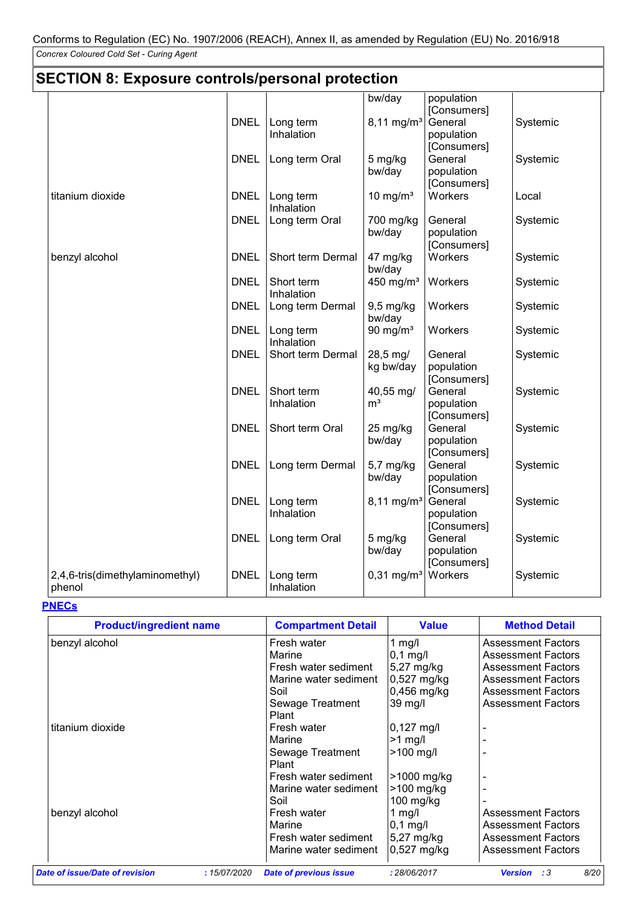|                                           | <b>SECTION 8: Exposure controls/personal protection</b> |                          |                             |                                      |          |  |
|-------------------------------------------|---------------------------------------------------------|--------------------------|-----------------------------|--------------------------------------|----------|--|
|                                           |                                                         |                          | bw/day                      | population<br>[Consumers]            |          |  |
|                                           | <b>DNEL</b>                                             | Long term                | $8,11 \text{ mg/m}^3$       | General                              | Systemic |  |
|                                           |                                                         | Inhalation               |                             | population<br>[Consumers]            |          |  |
|                                           | <b>DNEL</b>                                             | Long term Oral           | 5 mg/kg<br>bw/day           | General<br>population<br>[Consumers] | Systemic |  |
| titanium dioxide                          | <b>DNEL</b>                                             | Long term<br>Inhalation  | 10 mg/ $m3$                 | Workers                              | Local    |  |
|                                           | <b>DNEL</b>                                             | Long term Oral           | 700 mg/kg<br>bw/day         | General<br>population<br>[Consumers] | Systemic |  |
| benzyl alcohol                            | <b>DNEL</b>                                             | Short term Dermal        | 47 mg/kg<br>bw/day          | Workers                              | Systemic |  |
|                                           | <b>DNEL</b>                                             | Short term<br>Inhalation | 450 mg/ $m3$                | Workers                              | Systemic |  |
|                                           | <b>DNEL</b>                                             | Long term Dermal         | 9,5 mg/kg<br>bw/day         | Workers                              | Systemic |  |
|                                           | <b>DNEL</b>                                             | Long term<br>Inhalation  | 90 mg/m <sup>3</sup>        | Workers                              | Systemic |  |
|                                           | <b>DNEL</b>                                             | Short term Dermal        | 28,5 mg/<br>kg bw/day       | General<br>population<br>[Consumers] | Systemic |  |
|                                           | <b>DNEL</b>                                             | Short term<br>Inhalation | 40,55 mg/<br>m <sup>3</sup> | General<br>population<br>[Consumers] | Systemic |  |
|                                           | <b>DNEL</b>                                             | Short term Oral          | 25 mg/kg<br>bw/day          | General<br>population<br>[Consumers] | Systemic |  |
|                                           | <b>DNEL</b>                                             | Long term Dermal         | 5,7 mg/kg<br>bw/day         | General<br>population<br>[Consumers] | Systemic |  |
|                                           | <b>DNEL</b>                                             | Long term<br>Inhalation  | $8,11 \text{ mg/m}^3$       | General<br>population<br>[Consumers] | Systemic |  |
|                                           | <b>DNEL</b>                                             | Long term Oral           | 5 mg/kg<br>bw/day           | General<br>population<br>[Consumers] | Systemic |  |
| 2,4,6-tris(dimethylaminomethyl)<br>phenol | <b>DNEL</b>                                             | Long term<br>Inhalation  | $0,31$ mg/m <sup>3</sup>    | Workers                              | Systemic |  |

#### **PNECs**

| <b>Product/ingredient name</b>        |             | <b>Compartment Detail</b>     | <b>Value</b>         | <b>Method Detail</b>                 |
|---------------------------------------|-------------|-------------------------------|----------------------|--------------------------------------|
| benzyl alcohol                        |             | Fresh water                   | 1 $mg/l$             | <b>Assessment Factors</b>            |
|                                       |             | Marine                        | $ 0,1 \text{ mg}/I $ | <b>Assessment Factors</b>            |
|                                       |             | Fresh water sediment          | 5,27 mg/kg           | <b>Assessment Factors</b>            |
|                                       |             | Marine water sediment         | 0,527 mg/kg          | <b>Assessment Factors</b>            |
|                                       |             | Soil                          | 0,456 mg/kg          | <b>Assessment Factors</b>            |
|                                       |             | Sewage Treatment              | $39 \text{ mg/l}$    | <b>Assessment Factors</b>            |
|                                       |             | Plant                         |                      |                                      |
| titanium dioxide                      |             | Fresh water                   | $0,127 \text{ mg/l}$ | $\blacksquare$                       |
|                                       |             | Marine                        | $>1$ mg/             |                                      |
|                                       |             | Sewage Treatment              | $>100$ mg/l          |                                      |
|                                       |             | Plant                         |                      |                                      |
|                                       |             | Fresh water sediment          | >1000 mg/kg          |                                      |
|                                       |             | Marine water sediment         | >100 mg/kg           |                                      |
|                                       |             | Soil                          | $100$ mg/kg          |                                      |
| benzyl alcohol                        |             | Fresh water                   | 1 $mg/l$             | <b>Assessment Factors</b>            |
|                                       |             | Marine                        | $0,1$ mg/l           | <b>Assessment Factors</b>            |
|                                       |             | Fresh water sediment          | 5,27 mg/kg           | <b>Assessment Factors</b>            |
|                                       |             | Marine water sediment         | $0,527$ mg/kg        | <b>Assessment Factors</b>            |
| <b>Date of issue/Date of revision</b> | :15/07/2020 | <b>Date of previous issue</b> | : 28/06/2017         | 8/20<br><b>Version</b><br>$\cdot$ :3 |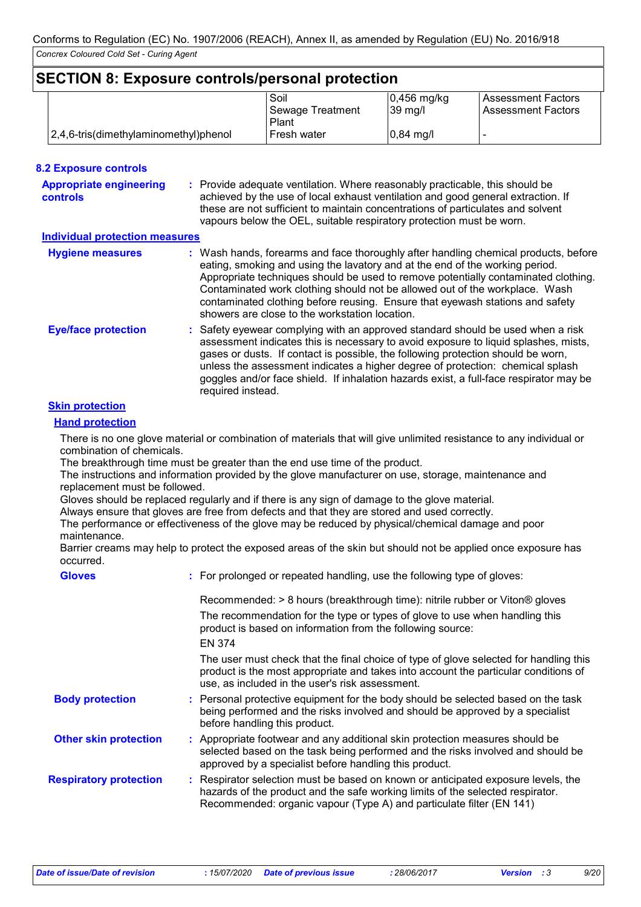| <b>SECTION 8: Exposure controls/personal protection</b> |                                       |                  |                     |                           |
|---------------------------------------------------------|---------------------------------------|------------------|---------------------|---------------------------|
|                                                         |                                       | Soil             | $ 0,456$ mg/kg      | <b>Assessment Factors</b> |
|                                                         |                                       | Sewage Treatment | 39 mg/l             | <b>Assessment Factors</b> |
|                                                         |                                       | Plant            |                     |                           |
|                                                         | 2,4,6-tris(dimethylaminomethyl)phenol | I Fresh water    | $0,84 \text{ mg}/I$ |                           |

| <b>8.2 Exposure controls</b>                      |                                                                                                                                                                                                                                                                                                                                                                                                                                                                             |
|---------------------------------------------------|-----------------------------------------------------------------------------------------------------------------------------------------------------------------------------------------------------------------------------------------------------------------------------------------------------------------------------------------------------------------------------------------------------------------------------------------------------------------------------|
| <b>Appropriate engineering</b><br><b>controls</b> | : Provide adequate ventilation. Where reasonably practicable, this should be<br>achieved by the use of local exhaust ventilation and good general extraction. If<br>these are not sufficient to maintain concentrations of particulates and solvent<br>vapours below the OEL, suitable respiratory protection must be worn.                                                                                                                                                 |
| <b>Individual protection measures</b>             |                                                                                                                                                                                                                                                                                                                                                                                                                                                                             |
| <b>Hygiene measures</b>                           | : Wash hands, forearms and face thoroughly after handling chemical products, before<br>eating, smoking and using the lavatory and at the end of the working period.<br>Appropriate techniques should be used to remove potentially contaminated clothing.<br>Contaminated work clothing should not be allowed out of the workplace. Wash<br>contaminated clothing before reusing. Ensure that eyewash stations and safety<br>showers are close to the workstation location. |
| <b>Eye/face protection</b>                        | : Safety eyewear complying with an approved standard should be used when a risk<br>assessment indicates this is necessary to avoid exposure to liquid splashes, mists,<br>gases or dusts. If contact is possible, the following protection should be worn,<br>unless the assessment indicates a higher degree of protection: chemical splash<br>goggles and/or face shield. If inhalation hazards exist, a full-face respirator may be<br>required instead.                 |

#### **Skin protection**

**Hand protection**

There is no one glove material or combination of materials that will give unlimited resistance to any individual or combination of chemicals.

The breakthrough time must be greater than the end use time of the product.

The instructions and information provided by the glove manufacturer on use, storage, maintenance and replacement must be followed.

Gloves should be replaced regularly and if there is any sign of damage to the glove material.

Always ensure that gloves are free from defects and that they are stored and used correctly.

The performance or effectiveness of the glove may be reduced by physical/chemical damage and poor maintenance.

Barrier creams may help to protect the exposed areas of the skin but should not be applied once exposure has occurred.

| <b>Gloves</b>                 | : For prolonged or repeated handling, use the following type of gloves:                                                                                                                                                                     |
|-------------------------------|---------------------------------------------------------------------------------------------------------------------------------------------------------------------------------------------------------------------------------------------|
|                               | Recommended: > 8 hours (breakthrough time): nitrile rubber or Viton® gloves                                                                                                                                                                 |
|                               | The recommendation for the type or types of glove to use when handling this<br>product is based on information from the following source:<br>EN 374                                                                                         |
|                               | The user must check that the final choice of type of glove selected for handling this<br>product is the most appropriate and takes into account the particular conditions of<br>use, as included in the user's risk assessment.             |
| <b>Body protection</b>        | : Personal protective equipment for the body should be selected based on the task<br>being performed and the risks involved and should be approved by a specialist<br>before handling this product.                                         |
| <b>Other skin protection</b>  | : Appropriate footwear and any additional skin protection measures should be<br>selected based on the task being performed and the risks involved and should be<br>approved by a specialist before handling this product.                   |
| <b>Respiratory protection</b> | : Respirator selection must be based on known or anticipated exposure levels, the<br>hazards of the product and the safe working limits of the selected respirator.<br>Recommended: organic vapour (Type A) and particulate filter (EN 141) |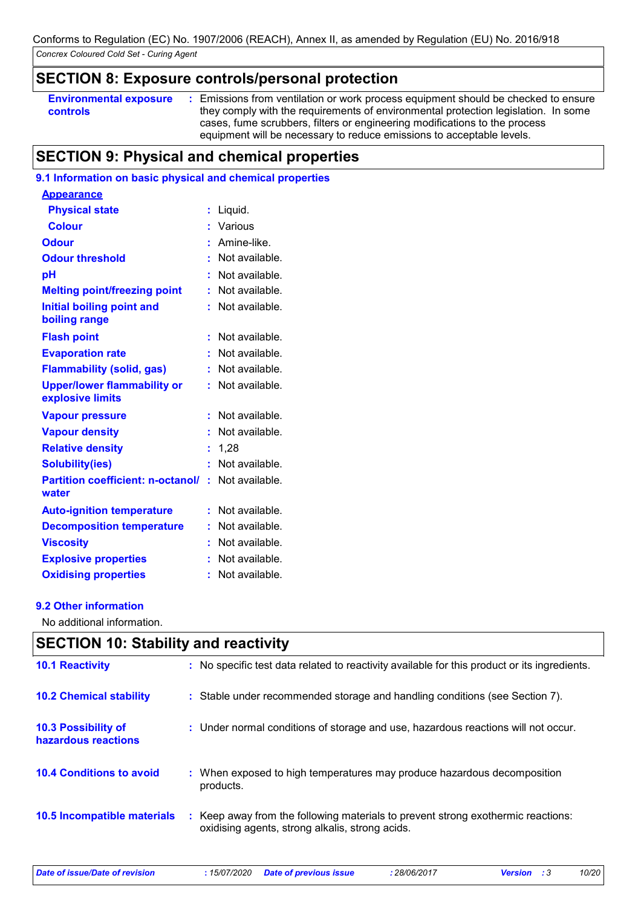## **SECTION 8: Exposure controls/personal protection**

| <b>Environmental exposure</b> | : Emissions from ventilation or work process equipment should be checked to ensure |
|-------------------------------|------------------------------------------------------------------------------------|
| controls                      | they comply with the requirements of environmental protection legislation. In some |
|                               | cases, fume scrubbers, filters or engineering modifications to the process         |
|                               | equipment will be necessary to reduce emissions to acceptable levels.              |

## **SECTION 9: Physical and chemical properties**

### **9.1 Information on basic physical and chemical properties**

| <b>Appearance</b>                                      |    |                |
|--------------------------------------------------------|----|----------------|
| <b>Physical state</b>                                  | ř. | Liquid.        |
| <b>Colour</b>                                          |    | Various        |
| <b>Odour</b>                                           |    | Amine-like.    |
| <b>Odour threshold</b>                                 |    | Not available. |
| рH                                                     | t  | Not available. |
| <b>Melting point/freezing point</b>                    | t  | Not available. |
| <b>Initial boiling point and</b><br>boiling range      | t  | Not available. |
| <b>Flash point</b>                                     | ř. | Not available. |
| <b>Evaporation rate</b>                                | ř. | Not available. |
| <b>Flammability (solid, gas)</b>                       | t  | Not available. |
| <b>Upper/lower flammability or</b><br>explosive limits | ÷  | Not available. |
| <b>Vapour pressure</b>                                 | ř. | Not available. |
| <b>Vapour density</b>                                  |    | Not available. |
| <b>Relative density</b>                                | t  | 1,28           |
| <b>Solubility(ies)</b>                                 | t  | Not available. |
| <b>Partition coefficient: n-octanol/</b><br>water      | ŧ. | Not available. |
| <b>Auto-ignition temperature</b>                       | t  | Not available. |
| <b>Decomposition temperature</b>                       | t  | Not available. |
| <b>Viscosity</b>                                       | t  | Not available. |
| <b>Explosive properties</b>                            |    | Not available. |
| <b>Oxidising properties</b>                            | ř. | Not available. |

#### **9.2 Other information**

No additional information.

|                                                   | <b>SECTION 10: Stability and reactivity</b>                                                                                         |  |  |  |  |
|---------------------------------------------------|-------------------------------------------------------------------------------------------------------------------------------------|--|--|--|--|
| <b>10.1 Reactivity</b>                            | : No specific test data related to reactivity available for this product or its ingredients.                                        |  |  |  |  |
| <b>10.2 Chemical stability</b>                    | : Stable under recommended storage and handling conditions (see Section 7).                                                         |  |  |  |  |
| <b>10.3 Possibility of</b><br>hazardous reactions | : Under normal conditions of storage and use, hazardous reactions will not occur.                                                   |  |  |  |  |
| <b>10.4 Conditions to avoid</b>                   | When exposed to high temperatures may produce hazardous decomposition<br>products.                                                  |  |  |  |  |
| <b>10.5 Incompatible materials</b>                | : Keep away from the following materials to prevent strong exothermic reactions:<br>oxidising agents, strong alkalis, strong acids. |  |  |  |  |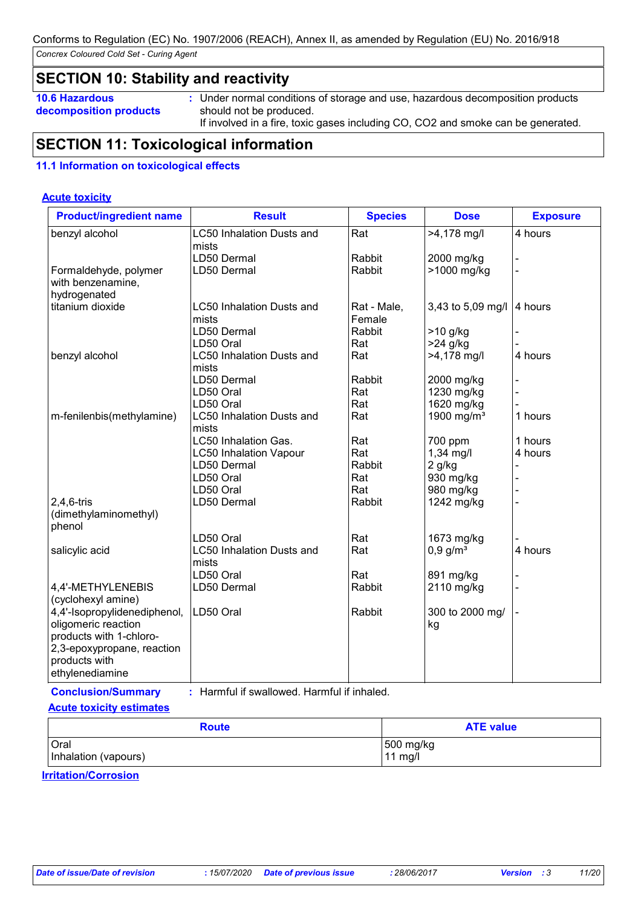## **SECTION 10: Stability and reactivity**

- **10.6 Hazardous**
- **decomposition products**
- **:** Under normal conditions of storage and use, hazardous decomposition products should not be produced. If involved in a fire, toxic gases including CO, CO2 and smoke can be generated.

## **SECTION 11: Toxicological information**

#### **11.1 Information on toxicological effects**

#### **Acute toxicity**

| <b>Product/ingredient name</b> | <b>Result</b>                    | <b>Species</b> | <b>Dose</b>            | <b>Exposure</b> |
|--------------------------------|----------------------------------|----------------|------------------------|-----------------|
| benzyl alcohol                 | <b>LC50 Inhalation Dusts and</b> | Rat            | >4,178 mg/l            | 4 hours         |
|                                | mists                            |                |                        |                 |
|                                | LD50 Dermal                      | Rabbit         | 2000 mg/kg             |                 |
| Formaldehyde, polymer          | LD50 Dermal                      | Rabbit         | >1000 mg/kg            |                 |
| with benzenamine,              |                                  |                |                        |                 |
| hydrogenated                   |                                  |                |                        |                 |
| titanium dioxide               | <b>LC50 Inhalation Dusts and</b> | Rat - Male,    | 3,43 to 5,09 mg/l      | 4 hours         |
|                                | mists                            | Female         |                        |                 |
|                                | LD50 Dermal                      | Rabbit         | >10 g/kg               |                 |
|                                | LD50 Oral                        | Rat            | $>24$ g/kg             |                 |
| benzyl alcohol                 | <b>LC50 Inhalation Dusts and</b> | Rat            | >4,178 mg/l            | 4 hours         |
|                                | mists                            |                |                        |                 |
|                                | LD50 Dermal                      | Rabbit         | 2000 mg/kg             |                 |
|                                | LD50 Oral                        | Rat            | 1230 mg/kg             |                 |
|                                | LD50 Oral                        | Rat            | 1620 mg/kg             |                 |
| m-fenilenbis(methylamine)      | LC50 Inhalation Dusts and        | Rat            | 1900 mg/m <sup>3</sup> | 1 hours         |
|                                | mists                            |                |                        |                 |
|                                | <b>LC50 Inhalation Gas.</b>      | Rat            | 700 ppm                | 1 hours         |
|                                | <b>LC50 Inhalation Vapour</b>    | Rat            | $1,34$ mg/l            | 4 hours         |
|                                | LD50 Dermal                      | Rabbit         | 2 g/kg                 |                 |
|                                | LD50 Oral                        | Rat            | 930 mg/kg              |                 |
|                                | LD50 Oral                        | Rat            | 980 mg/kg              |                 |
| $2,4,6$ -tris                  | LD50 Dermal                      | Rabbit         | 1242 mg/kg             |                 |
| (dimethylaminomethyl)          |                                  |                |                        |                 |
| phenol                         |                                  |                |                        |                 |
|                                | LD50 Oral                        | Rat            | 1673 mg/kg             |                 |
| salicylic acid                 | <b>LC50 Inhalation Dusts and</b> | Rat            | $0,9$ g/m <sup>3</sup> | 4 hours         |
|                                | mists                            |                |                        |                 |
|                                | LD50 Oral                        | Rat            | 891 mg/kg              |                 |
| 4,4'-METHYLENEBIS              | LD50 Dermal                      | Rabbit         | 2110 mg/kg             |                 |
| (cyclohexyl amine)             |                                  |                |                        |                 |
| 4,4'-Isopropylidenediphenol,   | LD50 Oral                        | Rabbit         | 300 to 2000 mg/        |                 |
| oligomeric reaction            |                                  |                | kg                     |                 |
| products with 1-chloro-        |                                  |                |                        |                 |
| 2,3-epoxypropane, reaction     |                                  |                |                        |                 |
| products with                  |                                  |                |                        |                 |
| ethylenediamine                |                                  |                |                        |                 |
|                                |                                  |                |                        |                 |

**Conclusion/Summary :** Harmful if swallowed. Harmful if inhaled.

#### **Acute toxicity estimates**

| <b>Route</b>         | <b>ATE value</b> |  |
|----------------------|------------------|--|
| Oral                 | 500 mg/kg        |  |
| Inhalation (vapours) | $11$ mg/l        |  |

**Irritation/Corrosion**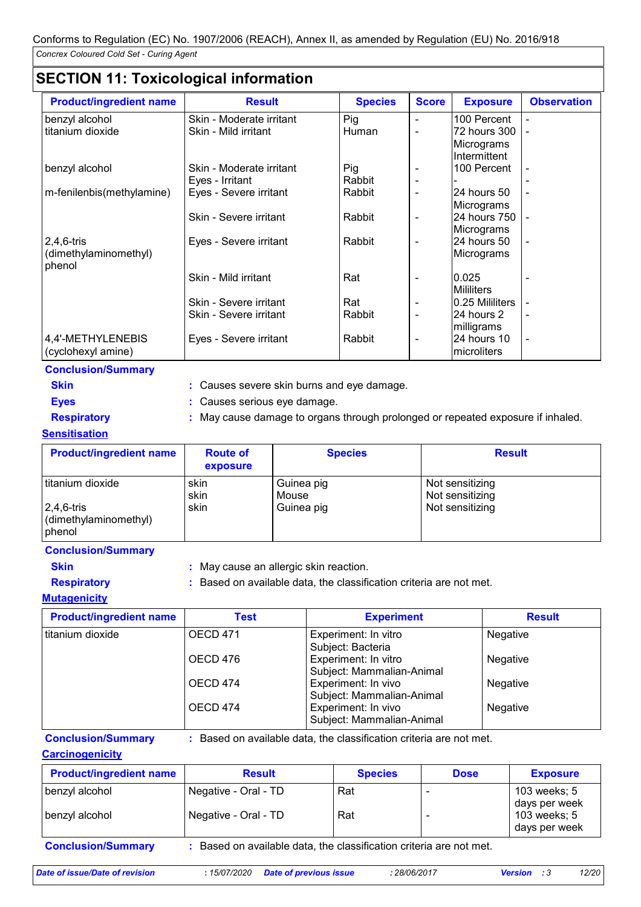## **SECTION 11: Toxicological information**

| <b>Product/ingredient name</b>  | <b>Result</b>            | <b>Species</b> | <b>Score</b>             | <b>Exposure</b>   | <b>Observation</b> |
|---------------------------------|--------------------------|----------------|--------------------------|-------------------|--------------------|
| benzyl alcohol                  | Skin - Moderate irritant | Pig            |                          | 100 Percent       |                    |
| titanium dioxide                | Skin - Mild irritant     | Human          |                          | 72 hours 300      |                    |
|                                 |                          |                |                          | Micrograms        |                    |
|                                 |                          |                |                          | Intermittent      |                    |
| benzyl alcohol                  | Skin - Moderate irritant | Pig            |                          | 100 Percent       |                    |
|                                 | Eyes - Irritant          | Rabbit         |                          |                   |                    |
| m-fenilenbis(methylamine)       | Eyes - Severe irritant   | Rabbit         |                          | 24 hours 50       |                    |
|                                 |                          |                |                          | Micrograms        |                    |
|                                 | Skin - Severe irritant   | Rabbit         |                          | 24 hours 750      |                    |
|                                 |                          |                |                          | Micrograms        |                    |
| $2,4,6$ -tris                   | Eyes - Severe irritant   | Rabbit         |                          | 24 hours 50       |                    |
| (dimethylaminomethyl)<br>phenol |                          |                |                          | Micrograms        |                    |
|                                 | Skin - Mild irritant     | Rat            |                          | 0.025             |                    |
|                                 |                          |                |                          | <b>Mililiters</b> |                    |
|                                 | Skin - Severe irritant   | Rat            |                          | 10.25 Mililiters  |                    |
|                                 | Skin - Severe irritant   | Rabbit         |                          | 24 hours 2        |                    |
|                                 |                          |                |                          | milligrams        |                    |
| 4,4'-METHYLENEBIS               | Eyes - Severe irritant   | Rabbit         | $\overline{\phantom{a}}$ | 24 hours 10       |                    |
| (cyclohexyl amine)              |                          |                |                          | microliters       |                    |

**Conclusion/Summary**

| ٦ | SKIN |  |
|---|------|--|
|   |      |  |

**Skin :** Causes severe skin burns and eye damage. **Eyes :** Causes serious eye damage.

**Respiratory :** May cause damage to organs through prolonged or repeated exposure if inhaled.

#### **Sensitisation**

| <b>Product/ingredient name</b>                                         | <b>Route of</b><br>exposure | <b>Species</b>                    | <b>Result</b>                                         |
|------------------------------------------------------------------------|-----------------------------|-----------------------------------|-------------------------------------------------------|
| l titanium dioxide<br>$2,4,6$ -tris<br>(dimethylaminomethyl)<br>phenol | skin<br>skin<br>skin        | Guinea pig<br>Mouse<br>Guinea pig | Not sensitizing<br>Not sensitizing<br>Not sensitizing |

#### **Conclusion/Summary**

- **Skin :** May cause an allergic skin reaction.
- **Respiratory :** Based on available data, the classification criteria are not met.
- **Mutagenicity**

| <b>Product/ingredient name</b> | Test            | <b>Experiment</b>                                 | <b>Result</b>   |
|--------------------------------|-----------------|---------------------------------------------------|-----------------|
| titanium dioxide               | <b>OECD 471</b> | Experiment: In vitro<br>Subject: Bacteria         | Negative        |
|                                | OECD 476        | Experiment: In vitro<br>Subject: Mammalian-Animal | <b>Negative</b> |
|                                | OECD 474        | Experiment: In vivo<br>Subject: Mammalian-Animal  | <b>Negative</b> |
|                                | OECD 474        | Experiment: In vivo<br>Subject: Mammalian-Animal  | <b>Negative</b> |

## **Carcinogenicity**

**Conclusion/Summary :** Based on available data, the classification criteria are not met.

benzyl alcohol **Negative - Oral - TD** Rat | - 103 weeks; 5 days per week benzyl alcohol | Negative - Oral - TD | Rat | - | 103 weeks; 5 days per week **Product/ingredient name Result Result Result Species Dose Exposure Conclusion/Summary :** Based on available data, the classification criteria are not met.

*Date of issue/Date of revision* **:** *15/07/2020 Date of previous issue : 28/06/2017 Version : 3 12/20*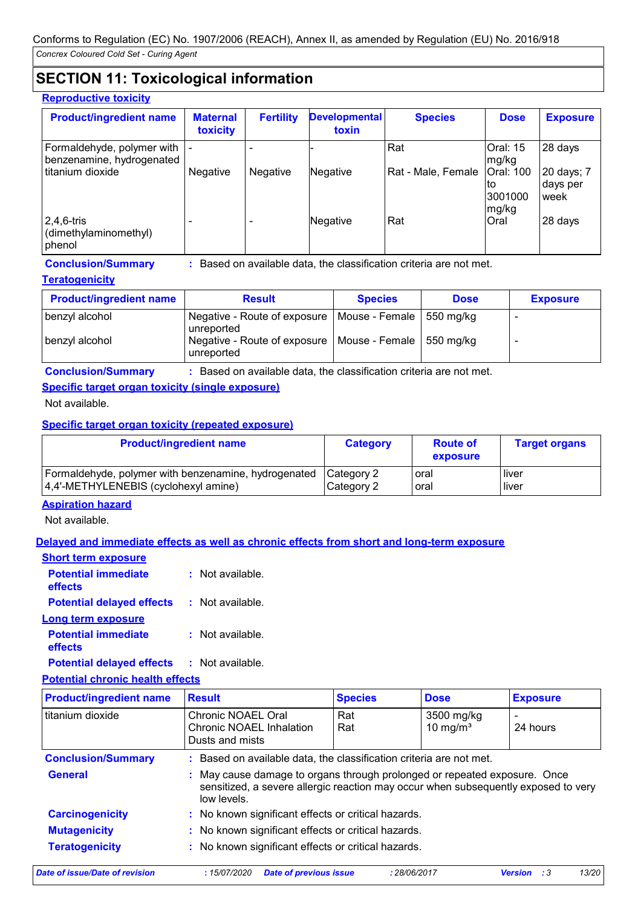## **SECTION 11: Toxicological information**

#### **Reproductive toxicity**

| <b>Product/ingredient name</b>                             | <b>Maternal</b><br>toxicity | <b>Fertility</b> | <b>Developmental</b><br>toxin | <b>Species</b>     | <b>Dose</b>                         | <b>Exposure</b>                |
|------------------------------------------------------------|-----------------------------|------------------|-------------------------------|--------------------|-------------------------------------|--------------------------------|
| Formaldehyde, polymer with  -<br>benzenamine, hydrogenated |                             |                  |                               | Rat                | <b>Oral: 15</b><br>mg/kg            | 28 days                        |
| l titanium dioxide                                         | <b>Negative</b>             | Negative         | Negative                      | Rat - Male, Female | Oral: 100<br>to<br>3001000<br>mg/kg | 20 days; 7<br>days per<br>week |
| $2,4,6$ -tris<br>(dimethylaminomethyl)<br>phenol           | -                           |                  | Negative                      | <b>Rat</b>         | Oral                                | 28 days                        |

**Conclusion/Summary :** Based on available data, the classification criteria are not met.

**Teratogenicity**

| <b>Product/ingredient name</b> | <b>Result</b>                                                           | <b>Species</b> | <b>Dose</b> | <b>Exposure</b> |
|--------------------------------|-------------------------------------------------------------------------|----------------|-------------|-----------------|
| benzyl alcohol                 | Negative - Route of exposure   Mouse - Female   550 mg/kg<br>unreported |                |             |                 |
| benzyl alcohol                 | Negative - Route of exposure   Mouse - Female   550 mg/kg<br>unreported |                |             |                 |

#### **Conclusion/Summary :** Based on available data, the classification criteria are not met.

#### **Specific target organ toxicity (single exposure)**

Not available.

#### **Specific target organ toxicity (repeated exposure)**

| <b>Product/ingredient name</b>                       | <b>Category</b> | <b>Route of</b><br>exposure | <b>Target organs</b> |
|------------------------------------------------------|-----------------|-----------------------------|----------------------|
| Formaldehyde, polymer with benzenamine, hydrogenated | Category 2      | oral                        | l liver              |
| 4,4'-METHYLENEBIS (cyclohexyl amine)                 | Category 2      | oral                        | l liver              |

#### **Aspiration hazard**

Not available.

#### **Delayed and immediate effects as well as chronic effects from short and long-term exposure**

| <b>Short term exposure</b>            |                    |
|---------------------------------------|--------------------|
| <b>Potential immediate</b><br>effects | : Not available.   |
| <b>Potential delayed effects</b>      | : Not available.   |
| Long term exposure                    |                    |
| <b>Potential immediate</b><br>effects | $:$ Not available. |
| Dotantial dalavad affacte             | . Not ovoilable    |

**Potential delayed effects :** Not available.

**Potential chronic health effects**

| <b>Product/ingredient name</b> | <b>Result</b>                                                                                                                                                                | <b>Species</b> | <b>Dose</b>               | <b>Exposure</b>                      |  |  |  |
|--------------------------------|------------------------------------------------------------------------------------------------------------------------------------------------------------------------------|----------------|---------------------------|--------------------------------------|--|--|--|
| titanium dioxide               | Chronic NOAEL Oral<br>Chronic NOAEL Inhalation<br>Dusts and mists                                                                                                            | Rat<br>Rat     | 3500 mg/kg<br>10 mg/ $m3$ | $\overline{\phantom{0}}$<br>24 hours |  |  |  |
| <b>Conclusion/Summary</b>      | : Based on available data, the classification criteria are not met.                                                                                                          |                |                           |                                      |  |  |  |
| <b>General</b>                 | May cause damage to organs through prolonged or repeated exposure. Once<br>sensitized, a severe allergic reaction may occur when subsequently exposed to very<br>low levels. |                |                           |                                      |  |  |  |
| <b>Carcinogenicity</b>         | : No known significant effects or critical hazards.                                                                                                                          |                |                           |                                      |  |  |  |
| <b>Mutagenicity</b>            | : No known significant effects or critical hazards.                                                                                                                          |                |                           |                                      |  |  |  |
| <b>Teratogenicity</b>          | : No known significant effects or critical hazards.                                                                                                                          |                |                           |                                      |  |  |  |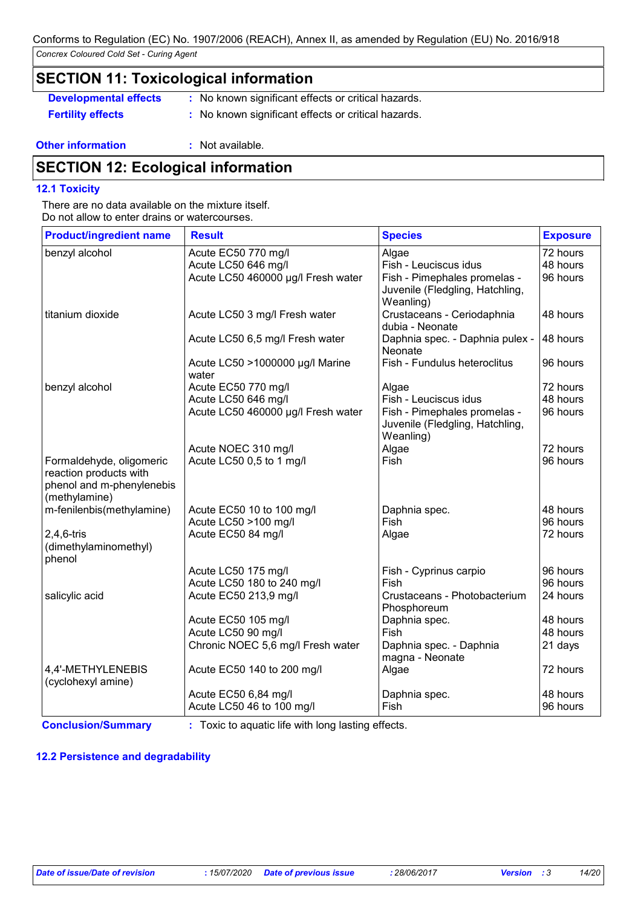## **SECTION 11: Toxicological information**

**Developmental effects** : No known significant effects or critical hazards.

**Fertility effects :** No known significant effects or critical hazards.

#### **Other information :** Not available.

## **SECTION 12: Ecological information**

#### **12.1 Toxicity**

There are no data available on the mixture itself. Do not allow to enter drains or watercourses.

| <b>Product/ingredient name</b>                                                                   | <b>Result</b>                            | <b>Species</b>                                                               | <b>Exposure</b> |
|--------------------------------------------------------------------------------------------------|------------------------------------------|------------------------------------------------------------------------------|-----------------|
| benzyl alcohol                                                                                   | Acute EC50 770 mg/l                      | Algae                                                                        | 72 hours        |
|                                                                                                  | Acute LC50 646 mg/l                      | Fish - Leuciscus idus                                                        | 48 hours        |
|                                                                                                  | Acute LC50 460000 µg/l Fresh water       | Fish - Pimephales promelas -<br>Juvenile (Fledgling, Hatchling,<br>Weanling) | 96 hours        |
| titanium dioxide                                                                                 | Acute LC50 3 mg/l Fresh water            | Crustaceans - Ceriodaphnia<br>dubia - Neonate                                | 48 hours        |
|                                                                                                  | Acute LC50 6,5 mg/l Fresh water          | Daphnia spec. - Daphnia pulex -<br>Neonate                                   | 48 hours        |
|                                                                                                  | Acute LC50 >1000000 µg/l Marine<br>water | Fish - Fundulus heteroclitus                                                 | 96 hours        |
| benzyl alcohol                                                                                   | Acute EC50 770 mg/l                      | Algae                                                                        | 72 hours        |
|                                                                                                  | Acute LC50 646 mg/l                      | Fish - Leuciscus idus                                                        | 48 hours        |
|                                                                                                  | Acute LC50 460000 µg/l Fresh water       | Fish - Pimephales promelas -<br>Juvenile (Fledgling, Hatchling,<br>Weanling) | 96 hours        |
|                                                                                                  | Acute NOEC 310 mg/l                      | Algae                                                                        | 72 hours        |
| Formaldehyde, oligomeric<br>reaction products with<br>phenol and m-phenylenebis<br>(methylamine) | Acute LC50 0,5 to 1 mg/l                 | Fish                                                                         | 96 hours        |
| m-fenilenbis(methylamine)                                                                        | Acute EC50 10 to 100 mg/l                | Daphnia spec.                                                                | 48 hours        |
|                                                                                                  | Acute LC50 >100 mg/l                     | <b>Fish</b>                                                                  | 96 hours        |
| $2,4,6$ -tris<br>(dimethylaminomethyl)<br>phenol                                                 | Acute EC50 84 mg/l                       | Algae                                                                        | 72 hours        |
|                                                                                                  | Acute LC50 175 mg/l                      | Fish - Cyprinus carpio                                                       | 96 hours        |
|                                                                                                  | Acute LC50 180 to 240 mg/l               | Fish                                                                         | 96 hours        |
| salicylic acid                                                                                   | Acute EC50 213,9 mg/l                    | Crustaceans - Photobacterium<br>Phosphoreum                                  | 24 hours        |
|                                                                                                  | Acute EC50 105 mg/l                      | Daphnia spec.                                                                | 48 hours        |
|                                                                                                  | Acute LC50 90 mg/l                       | Fish                                                                         | 48 hours        |
|                                                                                                  | Chronic NOEC 5,6 mg/l Fresh water        | Daphnia spec. - Daphnia<br>magna - Neonate                                   | 21 days         |
| 4,4'-METHYLENEBIS<br>(cyclohexyl amine)                                                          | Acute EC50 140 to 200 mg/l               | Algae                                                                        | 72 hours        |
|                                                                                                  | Acute EC50 6,84 mg/l                     | Daphnia spec.                                                                | 48 hours        |
|                                                                                                  | Acute LC50 46 to 100 mg/l                | Fish                                                                         | 96 hours        |

**Conclusion/Summary :** Toxic to aquatic life with long lasting effects.

#### **12.2 Persistence and degradability**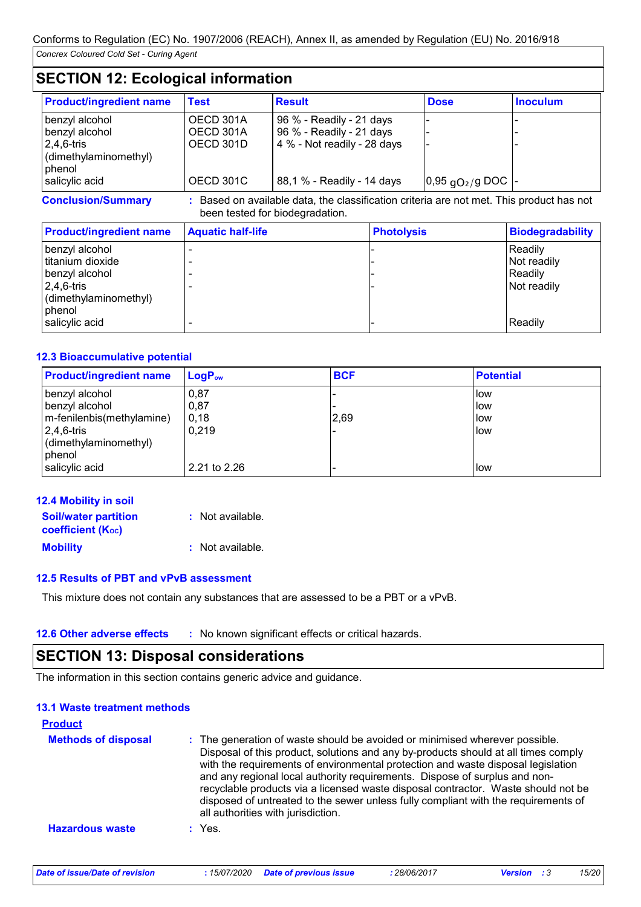## **SECTION 12: Ecological information**

| <b>Product/ingredient name</b> | Test      | <b>Result</b>               | <b>Dose</b>                    | <b>Inoculum</b> |
|--------------------------------|-----------|-----------------------------|--------------------------------|-----------------|
| benzyl alcohol                 | OECD 301A | 96 % - Readily - 21 days    |                                |                 |
| benzyl alcohol                 | OECD 301A | 96 % - Readily - 21 days    |                                |                 |
| $ 2,4,6$ -tris                 | OECD 301D | 4 % - Not readily - 28 days |                                |                 |
| (dimethylaminomethyl)          |           |                             |                                |                 |
| phenol                         |           |                             |                                |                 |
| salicylic acid                 | OECD 301C | 88,1 % - Readily - 14 days  | $ 0,95 \text{ qO}_2$ /g DOC  - |                 |

**Conclusion/Summary :** Based on available data, the classification criteria are not met. This product has not been tested for biodegradation.

| <b>Product/ingredient name</b> | <b>Aquatic half-life</b> | <b>Photolysis</b> | <b>Biodegradability</b> |
|--------------------------------|--------------------------|-------------------|-------------------------|
| benzyl alcohol                 |                          |                   | Readily                 |
| titanium dioxide               |                          |                   | Not readily             |
| benzyl alcohol                 |                          |                   | Readily                 |
| $ 2,4,6$ -tris                 |                          |                   | Not readily             |
| (dimethylaminomethyl)          |                          |                   |                         |
| phenol                         |                          |                   |                         |
| salicylic acid                 |                          |                   | l Readilv               |

#### **12.3 Bioaccumulative potential**

| <b>Product/ingredient name</b>                                                                                     | $\mathsf{LogP}_\mathsf{ow}$    | <b>BCF</b> | <b>Potential</b>            |
|--------------------------------------------------------------------------------------------------------------------|--------------------------------|------------|-----------------------------|
| benzyl alcohol<br>benzyl alcohol<br>m-fenilenbis(methylamine)<br>$ 2,4,6$ -tris<br>(dimethylaminomethyl)<br>phenol | 0,87<br> 0,87<br>0,18<br>0.219 | 2,69       | llow<br>low<br>llow<br>llow |
| salicylic acid                                                                                                     | 2.21 to 2.26                   |            | How                         |

| <b>12.4 Mobility in soil</b>                            |                  |
|---------------------------------------------------------|------------------|
| <b>Soil/water partition</b><br><b>coefficient (Koc)</b> | : Not available. |
| <b>Mobility</b>                                         | : Not available. |

#### **12.5 Results of PBT and vPvB assessment**

This mixture does not contain any substances that are assessed to be a PBT or a vPvB.

#### **12.6 Other adverse effects** : No known significant effects or critical hazards.

## **SECTION 13: Disposal considerations**

The information in this section contains generic advice and guidance.

#### **13.1 Waste treatment methods**

| <b>Product</b>             |                                                                                                                                                                                                                                                                                                                                                                                                                                                                                                                                                      |
|----------------------------|------------------------------------------------------------------------------------------------------------------------------------------------------------------------------------------------------------------------------------------------------------------------------------------------------------------------------------------------------------------------------------------------------------------------------------------------------------------------------------------------------------------------------------------------------|
| <b>Methods of disposal</b> | : The generation of waste should be avoided or minimised wherever possible.<br>Disposal of this product, solutions and any by-products should at all times comply<br>with the requirements of environmental protection and waste disposal legislation<br>and any regional local authority requirements. Dispose of surplus and non-<br>recyclable products via a licensed waste disposal contractor. Waste should not be<br>disposed of untreated to the sewer unless fully compliant with the requirements of<br>all authorities with jurisdiction. |
| <b>Hazardous waste</b>     | $:$ Yes.                                                                                                                                                                                                                                                                                                                                                                                                                                                                                                                                             |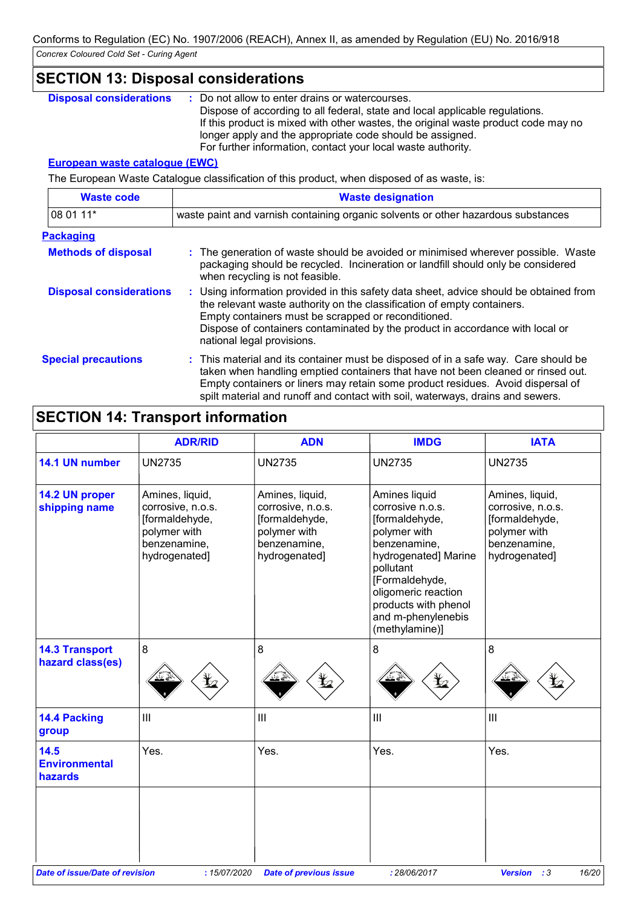## **SECTION 13: Disposal considerations**

: Do not allow to enter drains or watercourses. Dispose of according to all federal, state and local applicable regulations. If this product is mixed with other wastes, the original waste product code may no longer apply and the appropriate code should be assigned. For further information, contact your local waste authority. **Disposal considerations :**

#### **European waste catalogue (EWC)**

The European Waste Catalogue classification of this product, when disposed of as waste, is:

| <b>Waste code</b>              | <b>Waste designation</b>                                                                                                                                                                                                                                                                                                                     |
|--------------------------------|----------------------------------------------------------------------------------------------------------------------------------------------------------------------------------------------------------------------------------------------------------------------------------------------------------------------------------------------|
| 08 01 11*                      | waste paint and varnish containing organic solvents or other hazardous substances                                                                                                                                                                                                                                                            |
| <b>Packaging</b>               |                                                                                                                                                                                                                                                                                                                                              |
| <b>Methods of disposal</b>     | : The generation of waste should be avoided or minimised wherever possible. Waste<br>packaging should be recycled. Incineration or landfill should only be considered<br>when recycling is not feasible.                                                                                                                                     |
| <b>Disposal considerations</b> | : Using information provided in this safety data sheet, advice should be obtained from<br>the relevant waste authority on the classification of empty containers.<br>Empty containers must be scrapped or reconditioned.<br>Dispose of containers contaminated by the product in accordance with local or<br>national legal provisions.      |
| <b>Special precautions</b>     | : This material and its container must be disposed of in a safe way. Care should be<br>taken when handling emptied containers that have not been cleaned or rinsed out.<br>Empty containers or liners may retain some product residues. Avoid dispersal of<br>spilt material and runoff and contact with soil, waterways, drains and sewers. |

## **SECTION 14: Transport information**

|                                           | <b>ADR/RID</b>                                                                                          | <b>ADN</b>                                                                                              | <b>IMDG</b>                                                                                                                                                                                                                       | <b>IATA</b>                                                                                             |
|-------------------------------------------|---------------------------------------------------------------------------------------------------------|---------------------------------------------------------------------------------------------------------|-----------------------------------------------------------------------------------------------------------------------------------------------------------------------------------------------------------------------------------|---------------------------------------------------------------------------------------------------------|
| 14.1 UN number                            | <b>UN2735</b>                                                                                           | <b>UN2735</b>                                                                                           | <b>UN2735</b>                                                                                                                                                                                                                     | <b>UN2735</b>                                                                                           |
| 14.2 UN proper<br>shipping name           | Amines, liquid,<br>corrosive, n.o.s.<br>[formaldehyde,<br>polymer with<br>benzenamine,<br>hydrogenated] | Amines, liquid,<br>corrosive, n.o.s.<br>[formaldehyde,<br>polymer with<br>benzenamine,<br>hydrogenated] | Amines liquid<br>corrosive n.o.s.<br>[formaldehyde,<br>polymer with<br>benzenamine,<br>hydrogenated] Marine<br>pollutant<br>[Formaldehyde,<br>oligomeric reaction<br>products with phenol<br>and m-phenylenebis<br>(methylamine)] | Amines, liquid,<br>corrosive, n.o.s.<br>[formaldehyde,<br>polymer with<br>benzenamine,<br>hydrogenated] |
| <b>14.3 Transport</b><br>hazard class(es) | $\, 8$                                                                                                  | 8                                                                                                       | 8                                                                                                                                                                                                                                 | 8                                                                                                       |
| 14.4 Packing<br>group                     | $\ensuremath{\mathsf{III}}\xspace$                                                                      | $\mathbf{III}$                                                                                          | $\mathbf{III}$                                                                                                                                                                                                                    | Ш                                                                                                       |
| 14.5<br><b>Environmental</b><br>hazards   | Yes.                                                                                                    | Yes.                                                                                                    | Yes.                                                                                                                                                                                                                              | Yes.                                                                                                    |
| <b>Date of issue/Date of revision</b>     | :15/07/2020                                                                                             | <b>Date of previous issue</b>                                                                           | : 28/06/2017                                                                                                                                                                                                                      | 16/20<br><b>Version</b><br>:3                                                                           |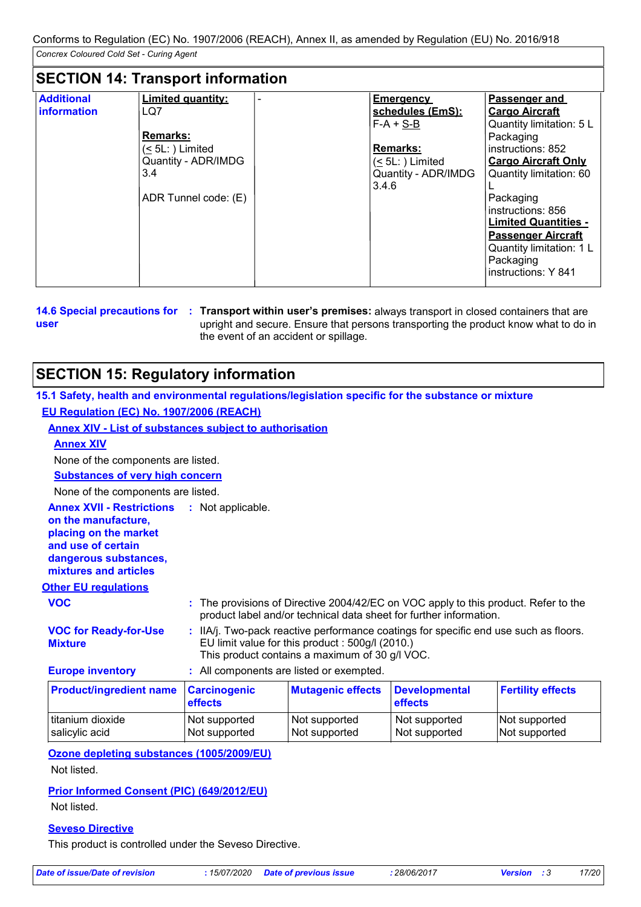## **SECTION 14: Transport information**

| <b>Additional</b> | <b>Limited quantity:</b> | <b>Emergency</b>       | Passenger and               |
|-------------------|--------------------------|------------------------|-----------------------------|
| information       | LQ7                      | schedules (EmS):       | <b>Cargo Aircraft</b>       |
|                   |                          | $F-A + S-B$            | Quantity limitation: 5 L    |
|                   | <b>Remarks:</b>          |                        | Packaging                   |
|                   | $(5L)$ Limited           | <b>Remarks:</b>        | instructions: 852           |
|                   | Quantity - ADR/IMDG      | $(\leq 5L$ : ) Limited | <b>Cargo Aircraft Only</b>  |
|                   | 3.4                      | Quantity - ADR/IMDG    | Quantity limitation: 60     |
|                   |                          | 3.4.6                  |                             |
|                   | ADR Tunnel code: (E)     |                        | Packaging                   |
|                   |                          |                        | instructions: 856           |
|                   |                          |                        | <b>Limited Quantities -</b> |
|                   |                          |                        | <b>Passenger Aircraft</b>   |
|                   |                          |                        | Quantity limitation: 1 L    |
|                   |                          |                        | Packaging                   |
|                   |                          |                        | instructions: Y 841         |

**user**

**14.6 Special precautions for : Transport within user's premises: always transport in closed containers that are** upright and secure. Ensure that persons transporting the product know what to do in the event of an accident or spillage.

## **SECTION 15: Regulatory information**

| 15.1 Safety, health and environmental regulations/legislation specific for the substance or mixture                                                      |                                          |                                                                                                    |                                                                                                                                                           |                                |
|----------------------------------------------------------------------------------------------------------------------------------------------------------|------------------------------------------|----------------------------------------------------------------------------------------------------|-----------------------------------------------------------------------------------------------------------------------------------------------------------|--------------------------------|
| EU Regulation (EC) No. 1907/2006 (REACH)                                                                                                                 |                                          |                                                                                                    |                                                                                                                                                           |                                |
| <b>Annex XIV - List of substances subject to authorisation</b>                                                                                           |                                          |                                                                                                    |                                                                                                                                                           |                                |
| <b>Annex XIV</b>                                                                                                                                         |                                          |                                                                                                    |                                                                                                                                                           |                                |
| None of the components are listed.                                                                                                                       |                                          |                                                                                                    |                                                                                                                                                           |                                |
| <b>Substances of very high concern</b>                                                                                                                   |                                          |                                                                                                    |                                                                                                                                                           |                                |
| None of the components are listed.                                                                                                                       |                                          |                                                                                                    |                                                                                                                                                           |                                |
| <b>Annex XVII - Restrictions</b><br>on the manufacture,<br>placing on the market<br>and use of certain<br>dangerous substances,<br>mixtures and articles | : Not applicable.                        |                                                                                                    |                                                                                                                                                           |                                |
| <b>Other EU regulations</b>                                                                                                                              |                                          |                                                                                                    |                                                                                                                                                           |                                |
| <b>VOC</b>                                                                                                                                               |                                          |                                                                                                    | : The provisions of Directive 2004/42/EC on VOC apply to this product. Refer to the<br>product label and/or technical data sheet for further information. |                                |
| <b>VOC for Ready-for-Use</b><br><b>Mixture</b>                                                                                                           |                                          | EU limit value for this product : 500g/l (2010.)<br>This product contains a maximum of 30 g/l VOC. | : IIA/j. Two-pack reactive performance coatings for specific end use such as floors.                                                                      |                                |
| <b>Europe inventory</b>                                                                                                                                  | : All components are listed or exempted. |                                                                                                    |                                                                                                                                                           |                                |
| <b>Product/ingredient name</b>                                                                                                                           | <b>Carcinogenic</b><br>effects           | <b>Mutagenic effects</b>                                                                           | <b>Developmental</b><br>effects                                                                                                                           | <b>Fertility effects</b>       |
| titanium dioxide<br>salicylic acid                                                                                                                       | Not supported<br>Not supported           | Not supported<br>Not supported                                                                     | Not supported<br>Not supported                                                                                                                            | Not supported<br>Not supported |

**Ozone depleting substances (1005/2009/EU)**

Not listed.

#### **Prior Informed Consent (PIC) (649/2012/EU)**

Not listed.

#### **Seveso Directive**

This product is controlled under the Seveso Directive.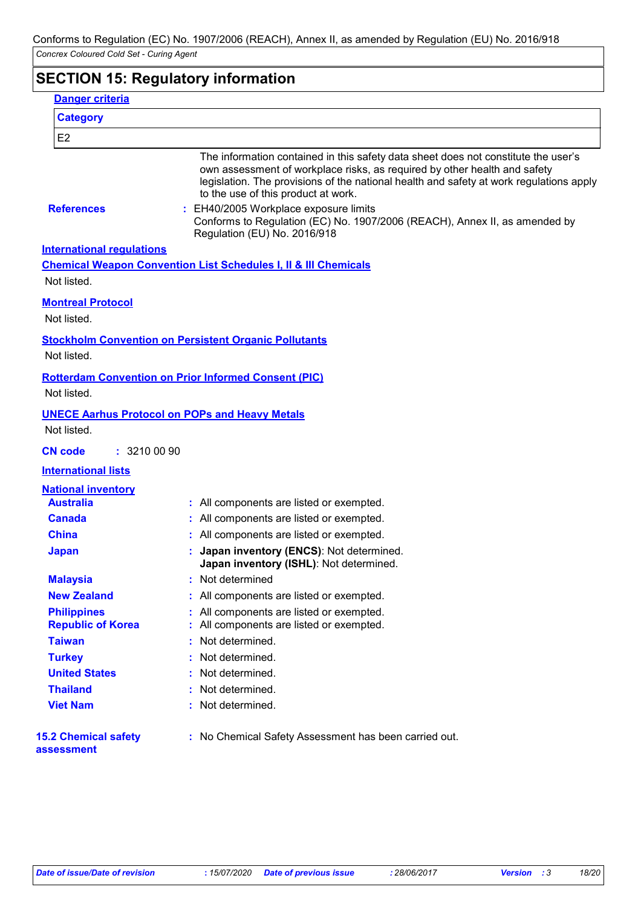## **SECTION 15: Regulatory information**

| <b>Danger criteria</b>                         |                                                                                                                                                                                                                                                                                                                                                                                                                          |
|------------------------------------------------|--------------------------------------------------------------------------------------------------------------------------------------------------------------------------------------------------------------------------------------------------------------------------------------------------------------------------------------------------------------------------------------------------------------------------|
| <b>Category</b>                                |                                                                                                                                                                                                                                                                                                                                                                                                                          |
| E <sub>2</sub>                                 |                                                                                                                                                                                                                                                                                                                                                                                                                          |
| <b>References</b>                              | The information contained in this safety data sheet does not constitute the user's<br>own assessment of workplace risks, as required by other health and safety<br>legislation. The provisions of the national health and safety at work regulations apply<br>to the use of this product at work.<br>: EH40/2005 Workplace exposure limits<br>Conforms to Regulation (EC) No. 1907/2006 (REACH), Annex II, as amended by |
| <b>International regulations</b>               | Regulation (EU) No. 2016/918                                                                                                                                                                                                                                                                                                                                                                                             |
|                                                | <b>Chemical Weapon Convention List Schedules I, II &amp; III Chemicals</b>                                                                                                                                                                                                                                                                                                                                               |
| Not listed.                                    |                                                                                                                                                                                                                                                                                                                                                                                                                          |
| <b>Montreal Protocol</b><br>Not listed.        |                                                                                                                                                                                                                                                                                                                                                                                                                          |
| Not listed.                                    | <b>Stockholm Convention on Persistent Organic Pollutants</b>                                                                                                                                                                                                                                                                                                                                                             |
| Not listed.                                    | <b>Rotterdam Convention on Prior Informed Consent (PIC)</b>                                                                                                                                                                                                                                                                                                                                                              |
| Not listed.                                    | <b>UNECE Aarhus Protocol on POPs and Heavy Metals</b>                                                                                                                                                                                                                                                                                                                                                                    |
| : 3210 00 90<br><b>CN code</b>                 |                                                                                                                                                                                                                                                                                                                                                                                                                          |
| <b>International lists</b>                     |                                                                                                                                                                                                                                                                                                                                                                                                                          |
| <b>National inventory</b>                      |                                                                                                                                                                                                                                                                                                                                                                                                                          |
| <b>Australia</b>                               | All components are listed or exempted.                                                                                                                                                                                                                                                                                                                                                                                   |
| <b>Canada</b>                                  | All components are listed or exempted.                                                                                                                                                                                                                                                                                                                                                                                   |
| <b>China</b>                                   | All components are listed or exempted.                                                                                                                                                                                                                                                                                                                                                                                   |
| <b>Japan</b>                                   | Japan inventory (ENCS): Not determined.<br>Japan inventory (ISHL): Not determined.                                                                                                                                                                                                                                                                                                                                       |
| <b>Malaysia</b>                                | Not determined                                                                                                                                                                                                                                                                                                                                                                                                           |
| <b>New Zealand</b>                             | All components are listed or exempted.                                                                                                                                                                                                                                                                                                                                                                                   |
| <b>Philippines</b><br><b>Republic of Korea</b> | All components are listed or exempted.<br>All components are listed or exempted.                                                                                                                                                                                                                                                                                                                                         |
| <b>Taiwan</b>                                  | Not determined.                                                                                                                                                                                                                                                                                                                                                                                                          |
| <b>Turkey</b>                                  | Not determined.                                                                                                                                                                                                                                                                                                                                                                                                          |
| <b>United States</b>                           | Not determined.                                                                                                                                                                                                                                                                                                                                                                                                          |
| <b>Thailand</b>                                | Not determined.                                                                                                                                                                                                                                                                                                                                                                                                          |
| <b>Viet Nam</b>                                | Not determined.                                                                                                                                                                                                                                                                                                                                                                                                          |
| <b>15.2 Chemical safety</b><br>assessment      | : No Chemical Safety Assessment has been carried out.                                                                                                                                                                                                                                                                                                                                                                    |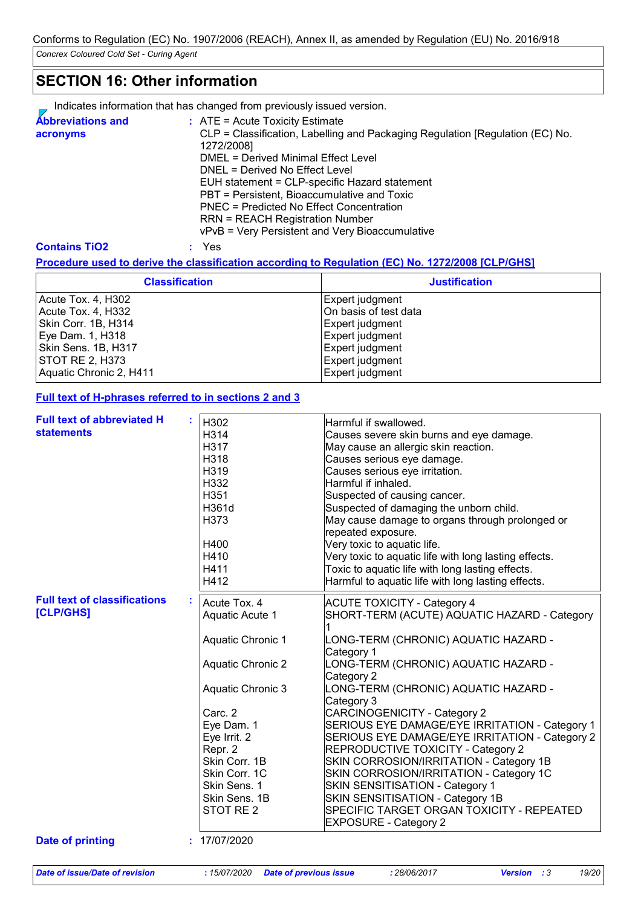## **SECTION 16: Other information**

Indicates information that has changed from previously issued version.

| <b>Abbreviations and</b> | $:$ ATE = Acute Toxicity Estimate                                             |
|--------------------------|-------------------------------------------------------------------------------|
| acronyms                 | CLP = Classification, Labelling and Packaging Regulation [Regulation (EC) No. |
|                          | 1272/2008]                                                                    |
|                          | DMEL = Derived Minimal Effect Level                                           |
|                          | DNEL = Derived No Effect Level                                                |
|                          | EUH statement = CLP-specific Hazard statement                                 |
|                          | PBT = Persistent, Bioaccumulative and Toxic                                   |
|                          | <b>PNEC = Predicted No Effect Concentration</b>                               |
|                          | <b>RRN = REACH Registration Number</b>                                        |
|                          | vPvB = Very Persistent and Very Bioaccumulative                               |

#### **Contains TiO2 :** Yes

#### **Procedure used to derive the classification according to Regulation (EC) No. 1272/2008 [CLP/GHS]**

| <b>Classification</b>   | <b>Justification</b>   |
|-------------------------|------------------------|
| Acute Tox. 4, H302      | Expert judgment        |
| Acute Tox. 4, H332      | IOn basis of test data |
| Skin Corr. 1B, H314     | Expert judgment        |
| Eye Dam. 1, H318        | Expert judgment        |
| Skin Sens. 1B, H317     | Expert judgment        |
| STOT RE 2, H373         | Expert judgment        |
| Aquatic Chronic 2, H411 | Expert judgment        |

#### **Full text of H-phrases referred to in sections 2 and 3**

| <b>Full text of abbreviated H</b>   |                          |                                                       |
|-------------------------------------|--------------------------|-------------------------------------------------------|
| <b>statements</b>                   | H302                     | Harmful if swallowed.                                 |
|                                     | H314<br>H317             | Causes severe skin burns and eye damage.              |
|                                     |                          | May cause an allergic skin reaction.                  |
|                                     | H318                     | Causes serious eye damage.                            |
|                                     | H319                     | Causes serious eye irritation.                        |
|                                     | H332                     | Harmful if inhaled.                                   |
|                                     | H351                     | Suspected of causing cancer.                          |
|                                     | H361d                    | Suspected of damaging the unborn child.               |
|                                     | H373                     | May cause damage to organs through prolonged or       |
|                                     |                          | repeated exposure.                                    |
|                                     | H400                     | Very toxic to aquatic life.                           |
|                                     | H410                     | Very toxic to aquatic life with long lasting effects. |
|                                     | H411                     | Toxic to aquatic life with long lasting effects.      |
|                                     | H412                     | Harmful to aquatic life with long lasting effects.    |
| <b>Full text of classifications</b> | Acute Tox. 4             | <b>ACUTE TOXICITY - Category 4</b>                    |
| [CLP/GHS]                           | <b>Aquatic Acute 1</b>   | SHORT-TERM (ACUTE) AQUATIC HAZARD - Category          |
|                                     |                          |                                                       |
|                                     | <b>Aquatic Chronic 1</b> | LONG-TERM (CHRONIC) AQUATIC HAZARD -                  |
|                                     |                          | Category 1                                            |
|                                     | <b>Aquatic Chronic 2</b> | LONG-TERM (CHRONIC) AQUATIC HAZARD -                  |
|                                     |                          | Category 2                                            |
|                                     | <b>Aquatic Chronic 3</b> | LONG-TERM (CHRONIC) AQUATIC HAZARD -                  |
|                                     |                          | Category 3                                            |
|                                     | Carc. 2                  | CARCINOGENICITY - Category 2                          |
|                                     | Eye Dam. 1               | SERIOUS EYE DAMAGE/EYE IRRITATION - Category 1        |
|                                     | Eye Irrit. 2             | SERIOUS EYE DAMAGE/EYE IRRITATION - Category 2        |
|                                     | Repr. 2                  | <b>REPRODUCTIVE TOXICITY - Category 2</b>             |
|                                     | Skin Corr. 1B            | SKIN CORROSION/IRRITATION - Category 1B               |
|                                     | Skin Corr. 1C            | SKIN CORROSION/IRRITATION - Category 1C               |
|                                     | Skin Sens. 1             | SKIN SENSITISATION - Category 1                       |
|                                     | Skin Sens. 1B            | SKIN SENSITISATION - Category 1B                      |
|                                     | STOT RE 2                | SPECIFIC TARGET ORGAN TOXICITY - REPEATED             |
|                                     |                          | <b>EXPOSURE - Category 2</b>                          |
| <b>Date of printing</b>             | : 17/07/2020             |                                                       |
|                                     |                          |                                                       |